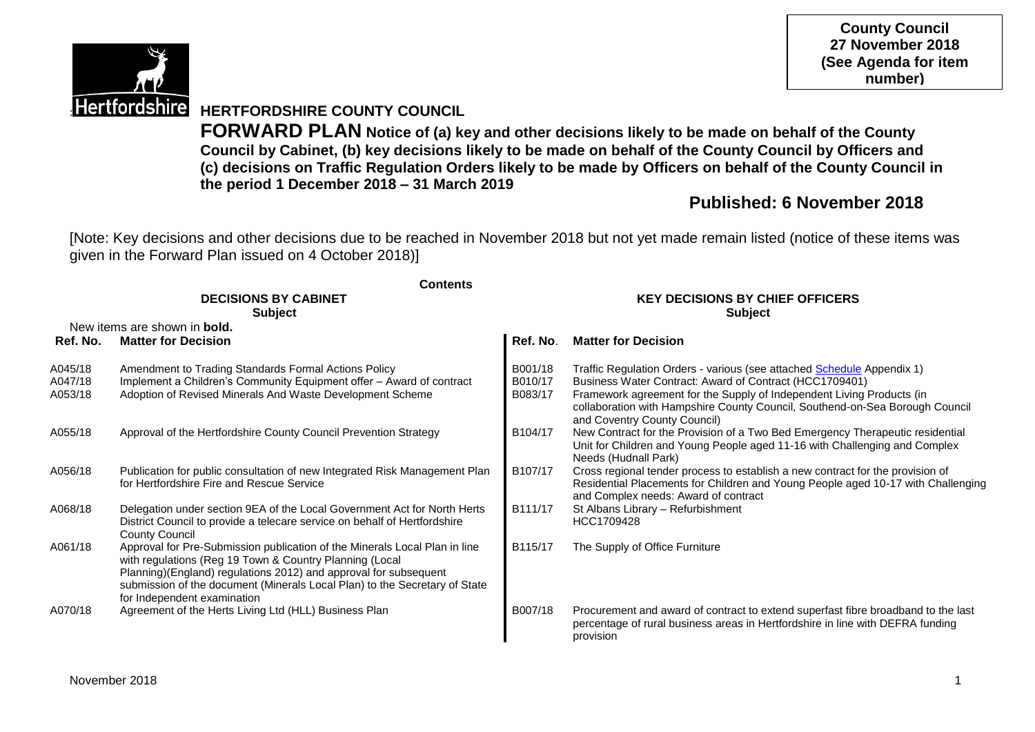

**County Council 27 November 2018 (See Agenda for item number)**

# **Hertfordshire HERTFORDSHIRE COUNTY COUNCIL**

**FORWARD PLAN Notice of (a) key and other decisions likely to be made on behalf of the County Council by Cabinet, (b) key decisions likely to be made on behalf of the County Council by Officers and (c) decisions on Traffic Regulation Orders likely to be made by Officers on behalf of the County Council in the period 1 December 2018 – 31 March 2019**

# **Published: 6 November 2018**

[Note: Key decisions and other decisions due to be reached in November 2018 but not yet made remain listed (notice of these items was given in the Forward Plan issued on 4 October 2018)]

|                               | <b>Contents</b>                                                                                                                                                                                                                                                                                                        |                                                          |                                                                                                                                                                                                                                                                                                                            |  |  |
|-------------------------------|------------------------------------------------------------------------------------------------------------------------------------------------------------------------------------------------------------------------------------------------------------------------------------------------------------------------|----------------------------------------------------------|----------------------------------------------------------------------------------------------------------------------------------------------------------------------------------------------------------------------------------------------------------------------------------------------------------------------------|--|--|
|                               | <b>DECISIONS BY CABINET</b><br><b>Subject</b>                                                                                                                                                                                                                                                                          | <b>KEY DECISIONS BY CHIEF OFFICERS</b><br><b>Subject</b> |                                                                                                                                                                                                                                                                                                                            |  |  |
|                               | New items are shown in <b>bold.</b>                                                                                                                                                                                                                                                                                    |                                                          |                                                                                                                                                                                                                                                                                                                            |  |  |
| Ref. No.                      | <b>Matter for Decision</b>                                                                                                                                                                                                                                                                                             | Ref. No.                                                 | <b>Matter for Decision</b>                                                                                                                                                                                                                                                                                                 |  |  |
| A045/18<br>A047/18<br>A053/18 | Amendment to Trading Standards Formal Actions Policy<br>Implement a Children's Community Equipment offer - Award of contract<br>Adoption of Revised Minerals And Waste Development Scheme                                                                                                                              | B001/18<br>B010/17<br>B083/17                            | Traffic Regulation Orders - various (see attached Schedule Appendix 1)<br>Business Water Contract: Award of Contract (HCC1709401)<br>Framework agreement for the Supply of Independent Living Products (in<br>collaboration with Hampshire County Council, Southend-on-Sea Borough Council<br>and Coventry County Council) |  |  |
| A055/18                       | Approval of the Hertfordshire County Council Prevention Strategy                                                                                                                                                                                                                                                       | B104/17                                                  | New Contract for the Provision of a Two Bed Emergency Therapeutic residential<br>Unit for Children and Young People aged 11-16 with Challenging and Complex<br>Needs (Hudnall Park)                                                                                                                                        |  |  |
| A056/18                       | Publication for public consultation of new Integrated Risk Management Plan<br>for Hertfordshire Fire and Rescue Service                                                                                                                                                                                                | B107/17                                                  | Cross regional tender process to establish a new contract for the provision of<br>Residential Placements for Children and Young People aged 10-17 with Challenging<br>and Complex needs: Award of contract                                                                                                                 |  |  |
| A068/18                       | Delegation under section 9EA of the Local Government Act for North Herts<br>District Council to provide a telecare service on behalf of Hertfordshire<br><b>County Council</b>                                                                                                                                         | B111/17                                                  | St Albans Library - Refurbishment<br>HCC1709428                                                                                                                                                                                                                                                                            |  |  |
| A061/18                       | Approval for Pre-Submission publication of the Minerals Local Plan in line<br>with regulations (Reg 19 Town & Country Planning (Local<br>Planning)(England) regulations 2012) and approval for subsequent<br>submission of the document (Minerals Local Plan) to the Secretary of State<br>for Independent examination | B115/17                                                  | The Supply of Office Furniture                                                                                                                                                                                                                                                                                             |  |  |
| A070/18                       | Agreement of the Herts Living Ltd (HLL) Business Plan                                                                                                                                                                                                                                                                  | B007/18                                                  | Procurement and award of contract to extend superfast fibre broadband to the last<br>percentage of rural business areas in Hertfordshire in line with DEFRA funding<br>provision                                                                                                                                           |  |  |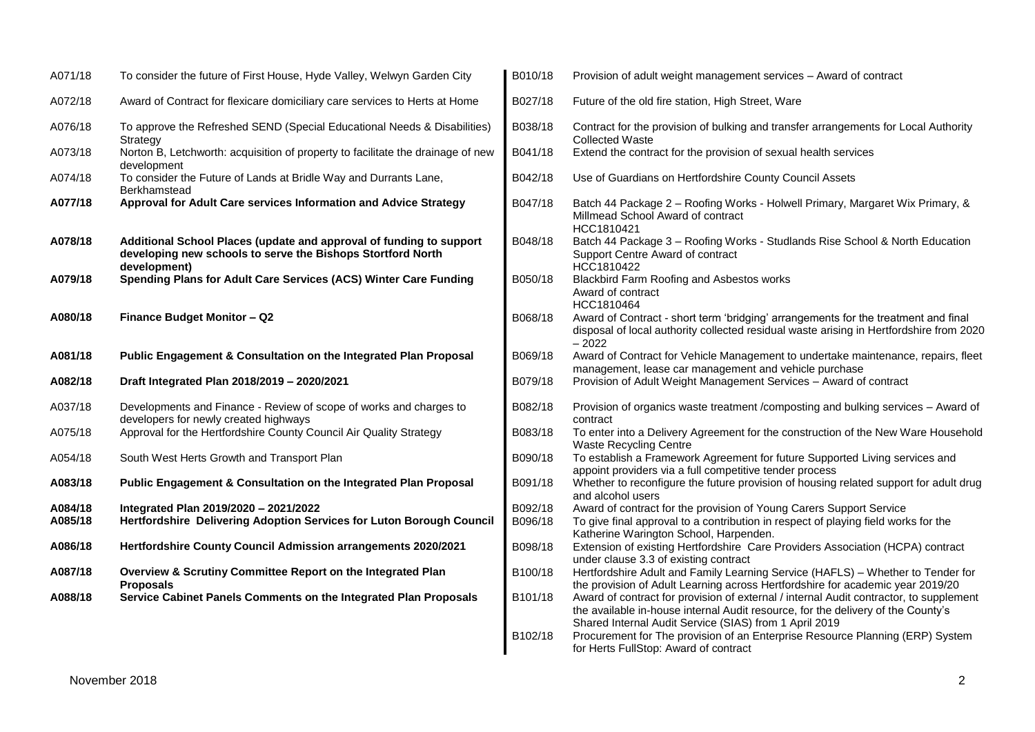| A071/18            | To consider the future of First House, Hyde Valley, Welwyn Garden City                                                                             | B010/18            | Provision of adult weight management services - Award of contract                                                                                                                                                                    |
|--------------------|----------------------------------------------------------------------------------------------------------------------------------------------------|--------------------|--------------------------------------------------------------------------------------------------------------------------------------------------------------------------------------------------------------------------------------|
| A072/18            | Award of Contract for flexicare domiciliary care services to Herts at Home                                                                         | B027/18            | Future of the old fire station, High Street, Ware                                                                                                                                                                                    |
| A076/18            | To approve the Refreshed SEND (Special Educational Needs & Disabilities)<br>Strategy                                                               | B038/18            | Contract for the provision of bulking and transfer arrangements for Local Authority<br><b>Collected Waste</b>                                                                                                                        |
| A073/18            | Norton B, Letchworth: acquisition of property to facilitate the drainage of new<br>development                                                     | B041/18            | Extend the contract for the provision of sexual health services                                                                                                                                                                      |
| A074/18            | To consider the Future of Lands at Bridle Way and Durrants Lane,<br>Berkhamstead                                                                   | B042/18            | Use of Guardians on Hertfordshire County Council Assets                                                                                                                                                                              |
| A077/18            | Approval for Adult Care services Information and Advice Strategy                                                                                   | B047/18            | Batch 44 Package 2 - Roofing Works - Holwell Primary, Margaret Wix Primary, &<br>Millmead School Award of contract<br>HCC1810421                                                                                                     |
| A078/18            | Additional School Places (update and approval of funding to support<br>developing new schools to serve the Bishops Stortford North<br>development) | B048/18            | Batch 44 Package 3 - Roofing Works - Studlands Rise School & North Education<br>Support Centre Award of contract<br>HCC1810422                                                                                                       |
| A079/18            | Spending Plans for Adult Care Services (ACS) Winter Care Funding                                                                                   | B050/18            | Blackbird Farm Roofing and Asbestos works<br>Award of contract<br>HCC1810464                                                                                                                                                         |
| A080/18            | Finance Budget Monitor - Q2                                                                                                                        | B068/18            | Award of Contract - short term 'bridging' arrangements for the treatment and final<br>disposal of local authority collected residual waste arising in Hertfordshire from 2020<br>$-2022$                                             |
| A081/18            | Public Engagement & Consultation on the Integrated Plan Proposal                                                                                   | B069/18            | Award of Contract for Vehicle Management to undertake maintenance, repairs, fleet<br>management, lease car management and vehicle purchase                                                                                           |
| A082/18            | Draft Integrated Plan 2018/2019 - 2020/2021                                                                                                        | B079/18            | Provision of Adult Weight Management Services - Award of contract                                                                                                                                                                    |
| A037/18            | Developments and Finance - Review of scope of works and charges to<br>developers for newly created highways                                        | B082/18            | Provision of organics waste treatment /composting and bulking services - Award of<br>contract                                                                                                                                        |
| A075/18            | Approval for the Hertfordshire County Council Air Quality Strategy                                                                                 | B083/18            | To enter into a Delivery Agreement for the construction of the New Ware Household<br><b>Waste Recycling Centre</b>                                                                                                                   |
| A054/18            | South West Herts Growth and Transport Plan                                                                                                         | B090/18            | To establish a Framework Agreement for future Supported Living services and<br>appoint providers via a full competitive tender process                                                                                               |
| A083/18            | Public Engagement & Consultation on the Integrated Plan Proposal                                                                                   | B091/18            | Whether to reconfigure the future provision of housing related support for adult drug<br>and alcohol users                                                                                                                           |
| A084/18<br>A085/18 | Integrated Plan 2019/2020 - 2021/2022<br>Hertfordshire Delivering Adoption Services for Luton Borough Council                                      | B092/18<br>B096/18 | Award of contract for the provision of Young Carers Support Service<br>To give final approval to a contribution in respect of playing field works for the<br>Katherine Warington School, Harpenden.                                  |
| A086/18            | Hertfordshire County Council Admission arrangements 2020/2021                                                                                      | B098/18            | Extension of existing Hertfordshire Care Providers Association (HCPA) contract<br>under clause 3.3 of existing contract                                                                                                              |
| A087/18            | Overview & Scrutiny Committee Report on the Integrated Plan<br><b>Proposals</b>                                                                    | B100/18            | Hertfordshire Adult and Family Learning Service (HAFLS) - Whether to Tender for<br>the provision of Adult Learning across Hertfordshire for academic year 2019/20                                                                    |
| A088/18            | Service Cabinet Panels Comments on the Integrated Plan Proposals                                                                                   | B101/18            | Award of contract for provision of external / internal Audit contractor, to supplement<br>the available in-house internal Audit resource, for the delivery of the County's<br>Shared Internal Audit Service (SIAS) from 1 April 2019 |
|                    |                                                                                                                                                    | B102/18            | Procurement for The provision of an Enterprise Resource Planning (ERP) System<br>for Herts FullStop: Award of contract                                                                                                               |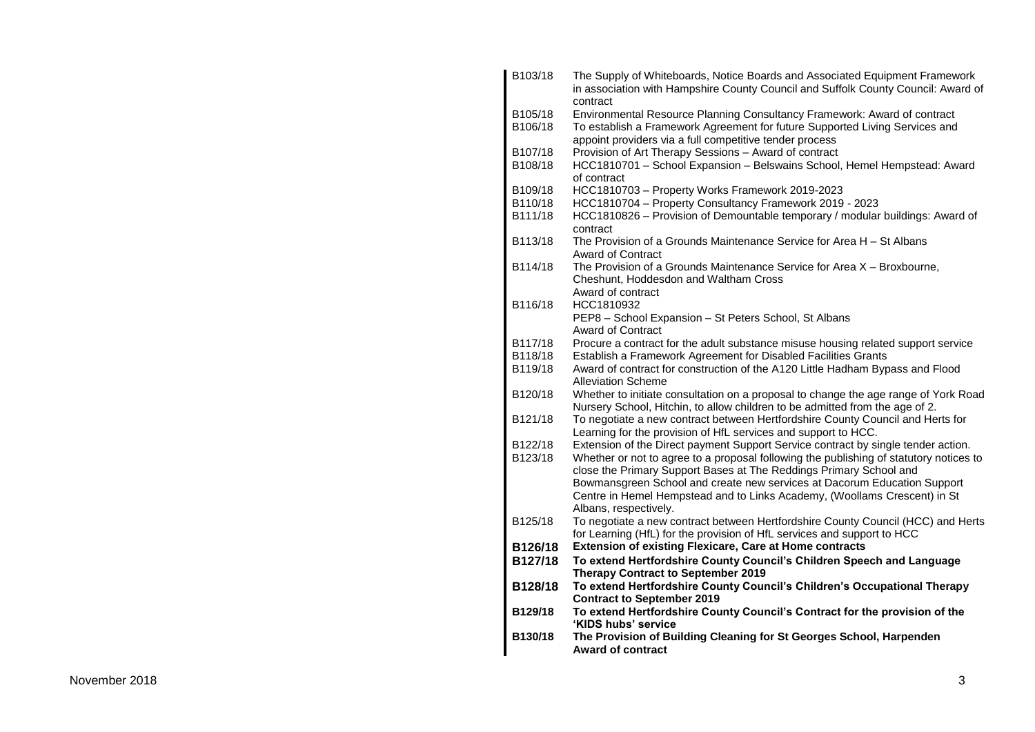| B103/18 | The Supply of Whiteboards, Notice Boards and Associated Equipment Framework<br>in association with Hampshire County Council and Suffolk County Council: Award of |
|---------|------------------------------------------------------------------------------------------------------------------------------------------------------------------|
| B105/18 | contract<br>Environmental Resource Planning Consultancy Framework: Award of contract                                                                             |
| B106/18 | To establish a Framework Agreement for future Supported Living Services and                                                                                      |
|         | appoint providers via a full competitive tender process                                                                                                          |
| B107/18 | Provision of Art Therapy Sessions - Award of contract                                                                                                            |
| B108/18 | HCC1810701 - School Expansion - Belswains School, Hemel Hempstead: Award<br>of contract                                                                          |
| B109/18 | HCC1810703 - Property Works Framework 2019-2023                                                                                                                  |
| B110/18 | HCC1810704 - Property Consultancy Framework 2019 - 2023                                                                                                          |
| B111/18 | HCC1810826 - Provision of Demountable temporary / modular buildings: Award of<br>contract                                                                        |
| B113/18 | The Provision of a Grounds Maintenance Service for Area H - St Albans<br><b>Award of Contract</b>                                                                |
| B114/18 | The Provision of a Grounds Maintenance Service for Area X - Broxbourne,<br>Cheshunt, Hoddesdon and Waltham Cross                                                 |
|         | Award of contract                                                                                                                                                |
| B116/18 | HCC1810932                                                                                                                                                       |
|         | PEP8 - School Expansion - St Peters School, St Albans                                                                                                            |
|         | <b>Award of Contract</b>                                                                                                                                         |
| B117/18 | Procure a contract for the adult substance misuse housing related support service                                                                                |
| B118/18 | Establish a Framework Agreement for Disabled Facilities Grants                                                                                                   |
| B119/18 | Award of contract for construction of the A120 Little Hadham Bypass and Flood<br><b>Alleviation Scheme</b>                                                       |
| B120/18 | Whether to initiate consultation on a proposal to change the age range of York Road                                                                              |
|         | Nursery School, Hitchin, to allow children to be admitted from the age of 2.                                                                                     |
| B121/18 | To negotiate a new contract between Hertfordshire County Council and Herts for                                                                                   |
|         | Learning for the provision of HfL services and support to HCC.                                                                                                   |
| B122/18 | Extension of the Direct payment Support Service contract by single tender action.                                                                                |
| B123/18 | Whether or not to agree to a proposal following the publishing of statutory notices to                                                                           |
|         | close the Primary Support Bases at The Reddings Primary School and                                                                                               |
|         | Bowmansgreen School and create new services at Dacorum Education Support                                                                                         |
|         | Centre in Hemel Hempstead and to Links Academy, (Woollams Crescent) in St                                                                                        |
|         | Albans, respectively.                                                                                                                                            |
| B125/18 | To negotiate a new contract between Hertfordshire County Council (HCC) and Herts                                                                                 |
|         | for Learning (HfL) for the provision of HfL services and support to HCC                                                                                          |
| B126/18 | <b>Extension of existing Flexicare, Care at Home contracts</b>                                                                                                   |
| B127/18 | To extend Hertfordshire County Council's Children Speech and Language                                                                                            |
|         | <b>Therapy Contract to September 2019</b>                                                                                                                        |
| B128/18 | To extend Hertfordshire County Council's Children's Occupational Therapy                                                                                         |
|         | <b>Contract to September 2019</b>                                                                                                                                |
| B129/18 | To extend Hertfordshire County Council's Contract for the provision of the                                                                                       |
| B130/18 | 'KIDS hubs' service<br>The Provision of Building Cleaning for St Georges School, Harpenden                                                                       |
|         | <b>Award of contract</b>                                                                                                                                         |
|         |                                                                                                                                                                  |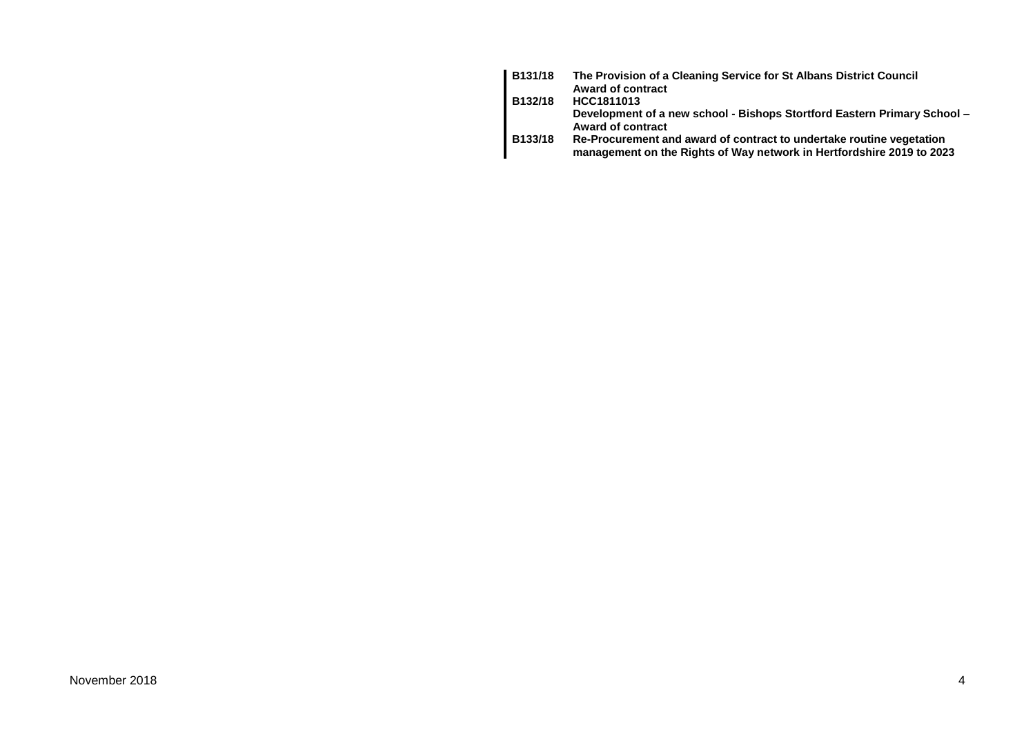| B131/18 | The Provision of a Cleaning Service for St Albans District Council<br><b>Award of contract</b>                                                |
|---------|-----------------------------------------------------------------------------------------------------------------------------------------------|
| B132/18 | HCC1811013                                                                                                                                    |
|         | Development of a new school - Bishops Stortford Eastern Primary School -<br>Award of contract                                                 |
| B133/18 | Re-Procurement and award of contract to undertake routine vegetation<br>management on the Rights of Way network in Hertfordshire 2019 to 2023 |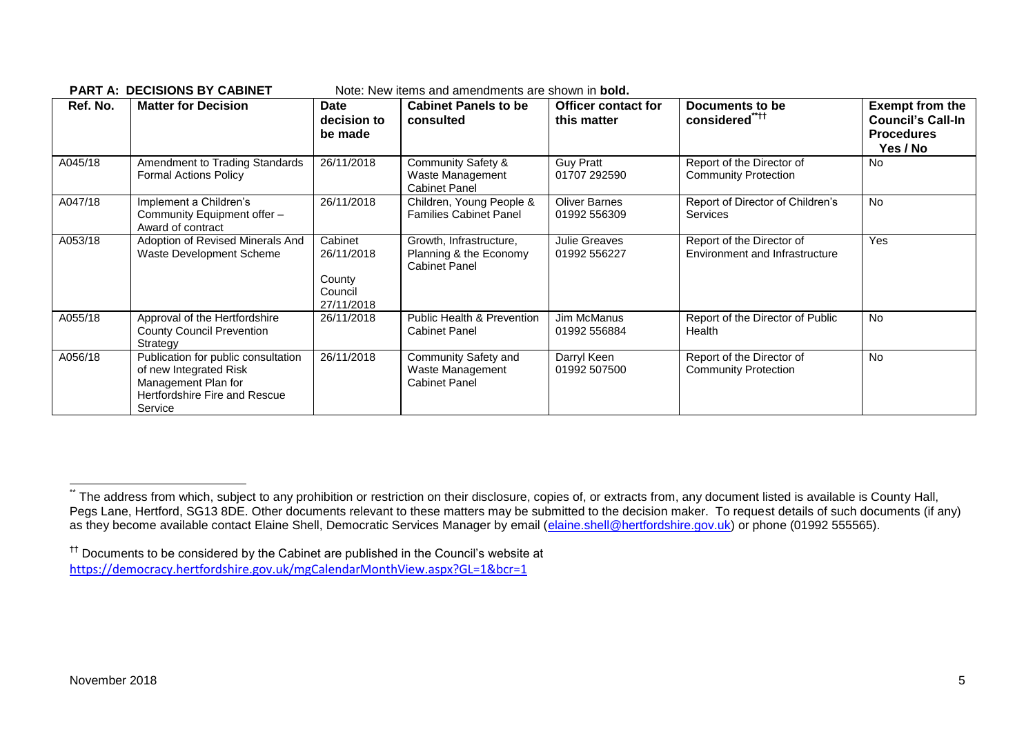|          | ו חושהט וכן טיסטאט אז הא ו                                                                                                       |                                                          | NULC. NGW ILCHIS ANU ANICHUMOUS AIC SHUWH IN <b>DUIU.</b>                 |                                           |                                                             |                                                                                     |
|----------|----------------------------------------------------------------------------------------------------------------------------------|----------------------------------------------------------|---------------------------------------------------------------------------|-------------------------------------------|-------------------------------------------------------------|-------------------------------------------------------------------------------------|
| Ref. No. | <b>Matter for Decision</b>                                                                                                       | <b>Date</b><br>decision to<br>be made                    | <b>Cabinet Panels to be</b><br>consulted                                  | <b>Officer contact for</b><br>this matter | Documents to be<br>considered****                           | <b>Exempt from the</b><br><b>Council's Call-In</b><br><b>Procedures</b><br>Yes / No |
| A045/18  | Amendment to Trading Standards<br><b>Formal Actions Policy</b>                                                                   | 26/11/2018                                               | <b>Community Safety &amp;</b><br>Waste Management<br><b>Cabinet Panel</b> | <b>Guy Pratt</b><br>01707 292590          | Report of the Director of<br><b>Community Protection</b>    | <b>No</b>                                                                           |
| A047/18  | Implement a Children's<br>Community Equipment offer -<br>Award of contract                                                       | 26/11/2018                                               | Children, Young People &<br><b>Families Cabinet Panel</b>                 | <b>Oliver Barnes</b><br>01992 556309      | Report of Director of Children's<br><b>Services</b>         | No                                                                                  |
| A053/18  | Adoption of Revised Minerals And<br>Waste Development Scheme                                                                     | Cabinet<br>26/11/2018<br>County<br>Council<br>27/11/2018 | Growth, Infrastructure,<br>Planning & the Economy<br><b>Cabinet Panel</b> | Julie Greaves<br>01992 556227             | Report of the Director of<br>Environment and Infrastructure | <b>Yes</b>                                                                          |
| A055/18  | Approval of the Hertfordshire<br><b>County Council Prevention</b><br>Strategy                                                    | 26/11/2018                                               | Public Health & Prevention<br><b>Cabinet Panel</b>                        | Jim McManus<br>01992 556884               | Report of the Director of Public<br>Health                  | <b>No</b>                                                                           |
| A056/18  | Publication for public consultation<br>of new Integrated Risk<br>Management Plan for<br>Hertfordshire Fire and Rescue<br>Service | 26/11/2018                                               | Community Safety and<br>Waste Management<br><b>Cabinet Panel</b>          | Darryl Keen<br>01992 507500               | Report of the Director of<br><b>Community Protection</b>    | <b>No</b>                                                                           |

#### **PART A: DECISIONS BY CABINET** Note: New items and amendments are shown in **bold.**

1

The address from which, subject to any prohibition or restriction on their disclosure, copies of, or extracts from, any document listed is available is County Hall, Pegs Lane, Hertford, SG13 8DE. Other documents relevant to these matters may be submitted to the decision maker. To request details of such documents (if any) as they become available contact Elaine Shell, Democratic Services Manager by email [\(elaine.shell@hertfordshire.gov.uk\)](mailto:elaine.shell@hertfordshire.gov.uk) or phone (01992 555565).

<sup>††</sup> Documents to be considered by the Cabinet are published in the Council's website at <https://democracy.hertfordshire.gov.uk/mgCalendarMonthView.aspx?GL=1&bcr=1>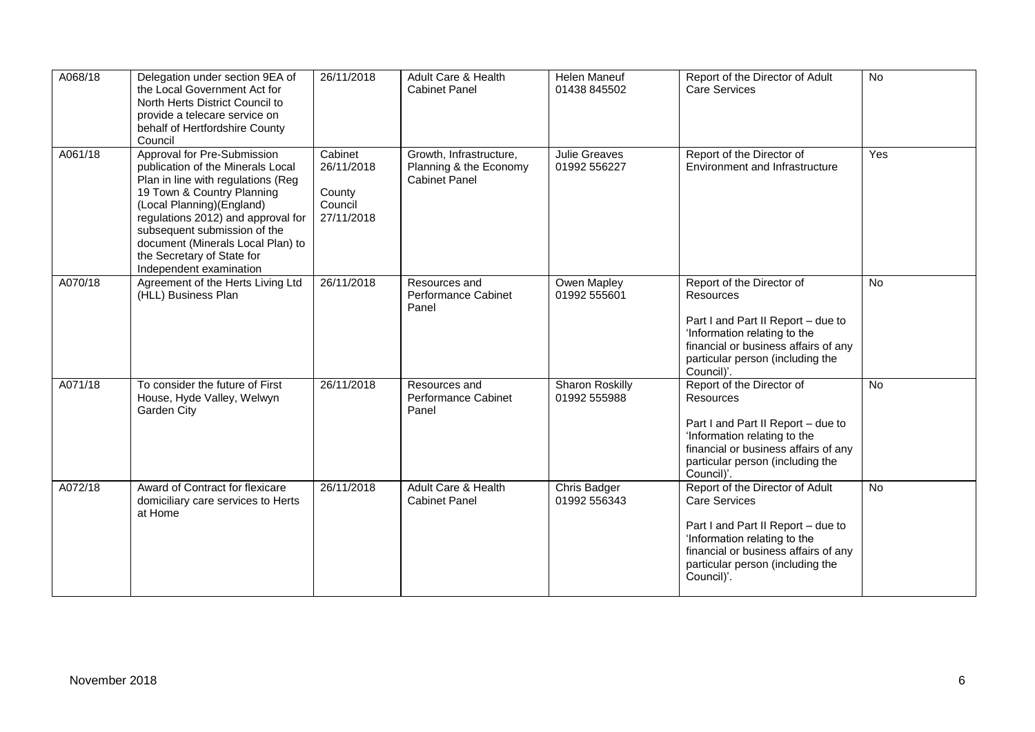| A068/18 | Delegation under section 9EA of<br>the Local Government Act for<br>North Herts District Council to<br>provide a telecare service on<br>behalf of Hertfordshire County<br>Council                                                                                                                                                       | 26/11/2018                                               | Adult Care & Health<br><b>Cabinet Panel</b>                               | <b>Helen Maneuf</b><br>01438 845502    | Report of the Director of Adult<br><b>Care Services</b>                                                                                                                                                                 | <b>No</b>      |
|---------|----------------------------------------------------------------------------------------------------------------------------------------------------------------------------------------------------------------------------------------------------------------------------------------------------------------------------------------|----------------------------------------------------------|---------------------------------------------------------------------------|----------------------------------------|-------------------------------------------------------------------------------------------------------------------------------------------------------------------------------------------------------------------------|----------------|
| A061/18 | Approval for Pre-Submission<br>publication of the Minerals Local<br>Plan in line with regulations (Reg<br>19 Town & Country Planning<br>(Local Planning) (England)<br>regulations 2012) and approval for<br>subsequent submission of the<br>document (Minerals Local Plan) to<br>the Secretary of State for<br>Independent examination | Cabinet<br>26/11/2018<br>County<br>Council<br>27/11/2018 | Growth, Infrastructure,<br>Planning & the Economy<br><b>Cabinet Panel</b> | Julie Greaves<br>01992 556227          | Report of the Director of<br>Environment and Infrastructure                                                                                                                                                             | Yes            |
| A070/18 | Agreement of the Herts Living Ltd<br>(HLL) Business Plan                                                                                                                                                                                                                                                                               | 26/11/2018                                               | Resources and<br>Performance Cabinet<br>Panel                             | Owen Mapley<br>01992 555601            | Report of the Director of<br>Resources<br>Part I and Part II Report - due to<br>'Information relating to the<br>financial or business affairs of any<br>particular person (including the<br>Council)'.                  | No             |
| A071/18 | To consider the future of First<br>House, Hyde Valley, Welwyn<br>Garden City                                                                                                                                                                                                                                                           | 26/11/2018                                               | Resources and<br>Performance Cabinet<br>Panel                             | <b>Sharon Roskilly</b><br>01992 555988 | Report of the Director of<br>Resources<br>Part I and Part II Report - due to<br>'Information relating to the<br>financial or business affairs of any<br>particular person (including the<br>Council)'.                  | $\overline{N}$ |
| A072/18 | Award of Contract for flexicare<br>domiciliary care services to Herts<br>at Home                                                                                                                                                                                                                                                       | 26/11/2018                                               | Adult Care & Health<br><b>Cabinet Panel</b>                               | Chris Badger<br>01992 556343           | Report of the Director of Adult<br><b>Care Services</b><br>Part I and Part II Report - due to<br>'Information relating to the<br>financial or business affairs of any<br>particular person (including the<br>Council)'. | No             |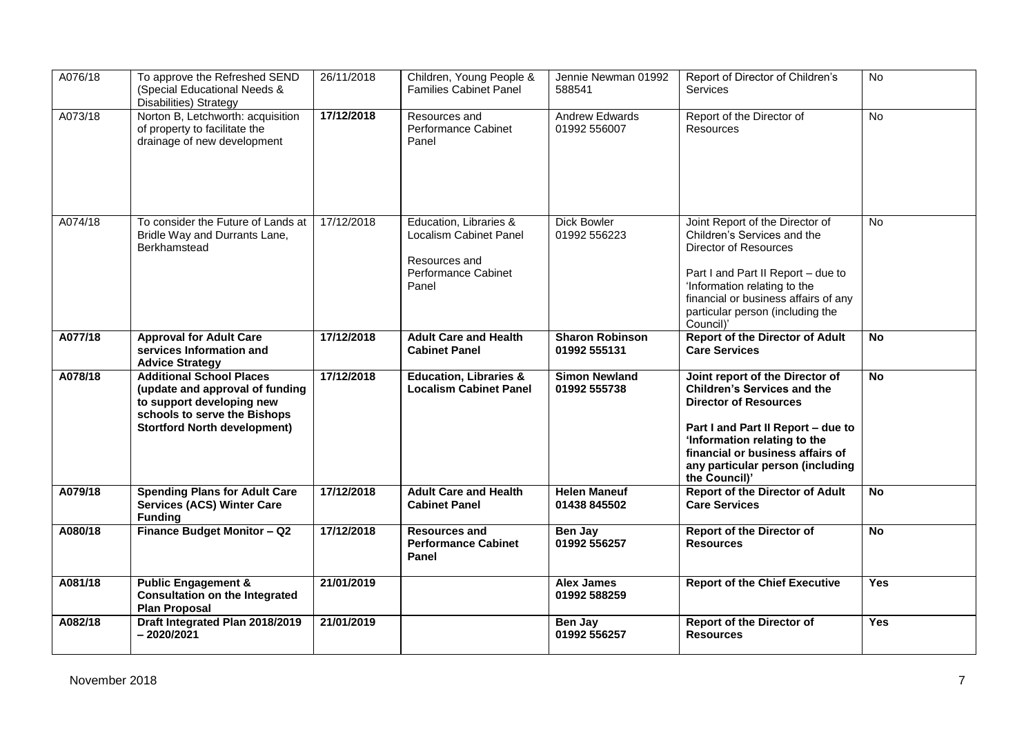| A076/18 | To approve the Refreshed SEND<br>(Special Educational Needs &<br><b>Disabilities) Strategy</b>                                                                         | 26/11/2018 | Children, Young People &<br><b>Families Cabinet Panel</b>                                         | Jennie Newman 01992<br>588541          | Report of Director of Children's<br><b>Services</b>                                                                                                                                                                                                                  | No             |
|---------|------------------------------------------------------------------------------------------------------------------------------------------------------------------------|------------|---------------------------------------------------------------------------------------------------|----------------------------------------|----------------------------------------------------------------------------------------------------------------------------------------------------------------------------------------------------------------------------------------------------------------------|----------------|
| A073/18 | Norton B, Letchworth: acquisition<br>of property to facilitate the<br>drainage of new development                                                                      | 17/12/2018 | Resources and<br>Performance Cabinet<br>Panel                                                     | Andrew Edwards<br>01992 556007         | Report of the Director of<br>Resources                                                                                                                                                                                                                               | No             |
| A074/18 | To consider the Future of Lands at<br>Bridle Way and Durrants Lane,<br>Berkhamstead                                                                                    | 17/12/2018 | Education, Libraries &<br>Localism Cabinet Panel<br>Resources and<br>Performance Cabinet<br>Panel | <b>Dick Bowler</b><br>01992 556223     | Joint Report of the Director of<br>Children's Services and the<br><b>Director of Resources</b><br>Part I and Part II Report - due to<br>'Information relating to the<br>financial or business affairs of any<br>particular person (including the<br>Council)'        | <b>No</b>      |
| A077/18 | <b>Approval for Adult Care</b><br>services Information and<br><b>Advice Strategy</b>                                                                                   | 17/12/2018 | <b>Adult Care and Health</b><br><b>Cabinet Panel</b>                                              | <b>Sharon Robinson</b><br>01992 555131 | <b>Report of the Director of Adult</b><br><b>Care Services</b>                                                                                                                                                                                                       | $\overline{N}$ |
| A078/18 | <b>Additional School Places</b><br>(update and approval of funding<br>to support developing new<br>schools to serve the Bishops<br><b>Stortford North development)</b> | 17/12/2018 | <b>Education, Libraries &amp;</b><br><b>Localism Cabinet Panel</b>                                | <b>Simon Newland</b><br>01992 555738   | Joint report of the Director of<br><b>Children's Services and the</b><br><b>Director of Resources</b><br>Part I and Part II Report - due to<br>'Information relating to the<br>financial or business affairs of<br>any particular person (including<br>the Council)' | <b>No</b>      |
| A079/18 | <b>Spending Plans for Adult Care</b><br><b>Services (ACS) Winter Care</b><br><b>Funding</b>                                                                            | 17/12/2018 | <b>Adult Care and Health</b><br><b>Cabinet Panel</b>                                              | <b>Helen Maneuf</b><br>01438 845502    | <b>Report of the Director of Adult</b><br><b>Care Services</b>                                                                                                                                                                                                       | <b>No</b>      |
| A080/18 | Finance Budget Monitor - Q2                                                                                                                                            | 17/12/2018 | <b>Resources and</b><br><b>Performance Cabinet</b><br>Panel                                       | Ben Jay<br>01992 556257                | <b>Report of the Director of</b><br><b>Resources</b>                                                                                                                                                                                                                 | No             |
| A081/18 | <b>Public Engagement &amp;</b><br><b>Consultation on the Integrated</b><br><b>Plan Proposal</b>                                                                        | 21/01/2019 |                                                                                                   | <b>Alex James</b><br>01992 588259      | <b>Report of the Chief Executive</b>                                                                                                                                                                                                                                 | Yes            |
| A082/18 | Draft Integrated Plan 2018/2019<br>$-2020/2021$                                                                                                                        | 21/01/2019 |                                                                                                   | Ben Jay<br>01992 556257                | <b>Report of the Director of</b><br><b>Resources</b>                                                                                                                                                                                                                 | <b>Yes</b>     |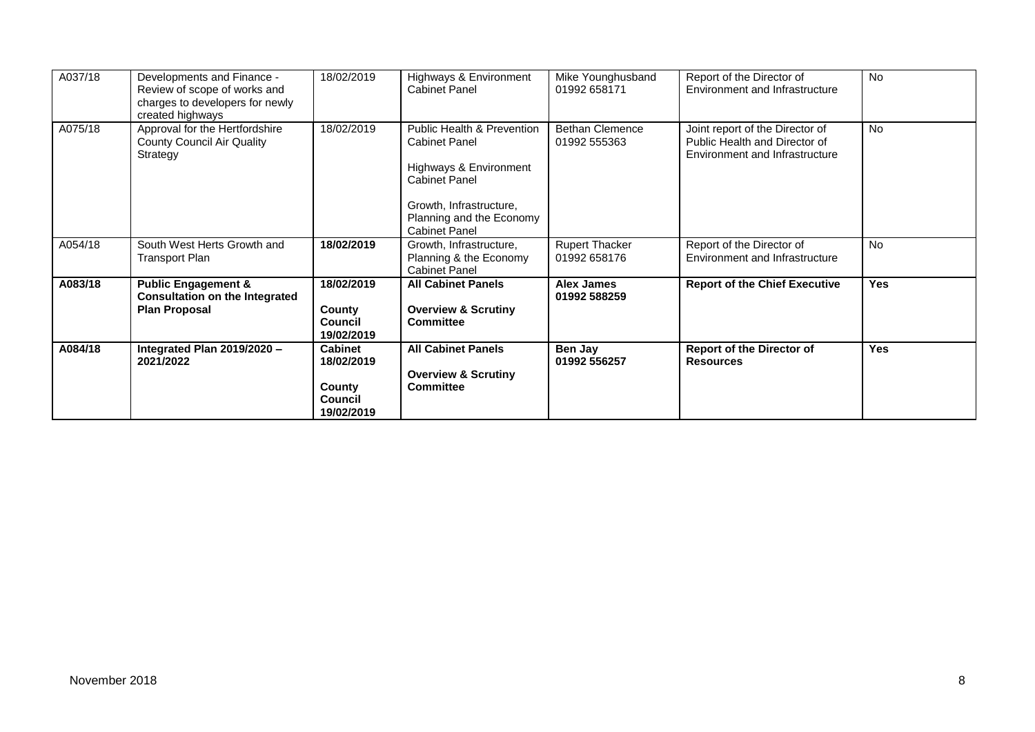| A037/18 | Developments and Finance -<br>Review of scope of works and<br>charges to developers for newly<br>created highways | 18/02/2019                                                             | Highways & Environment<br><b>Cabinet Panel</b>                                                                                                                                                 | Mike Younghusband<br>01992 658171      | Report of the Director of<br>Environment and Infrastructure                                        | <b>No</b>  |
|---------|-------------------------------------------------------------------------------------------------------------------|------------------------------------------------------------------------|------------------------------------------------------------------------------------------------------------------------------------------------------------------------------------------------|----------------------------------------|----------------------------------------------------------------------------------------------------|------------|
| A075/18 | Approval for the Hertfordshire<br>County Council Air Quality<br>Strategy                                          | 18/02/2019                                                             | <b>Public Health &amp; Prevention</b><br><b>Cabinet Panel</b><br>Highways & Environment<br><b>Cabinet Panel</b><br>Growth, Infrastructure,<br>Planning and the Economy<br><b>Cabinet Panel</b> | <b>Bethan Clemence</b><br>01992 555363 | Joint report of the Director of<br>Public Health and Director of<br>Environment and Infrastructure | <b>No</b>  |
| A054/18 | South West Herts Growth and<br>Transport Plan                                                                     | 18/02/2019                                                             | Growth, Infrastructure,<br>Planning & the Economy<br><b>Cabinet Panel</b>                                                                                                                      | <b>Rupert Thacker</b><br>01992 658176  | Report of the Director of<br>Environment and Infrastructure                                        | <b>No</b>  |
| A083/18 | <b>Public Engagement &amp;</b><br><b>Consultation on the Integrated</b><br><b>Plan Proposal</b>                   | 18/02/2019<br>County<br>Council<br>19/02/2019                          | <b>All Cabinet Panels</b><br><b>Overview &amp; Scrutiny</b><br><b>Committee</b>                                                                                                                | <b>Alex James</b><br>01992 588259      | <b>Report of the Chief Executive</b>                                                               | <b>Yes</b> |
| A084/18 | Integrated Plan 2019/2020 -<br>2021/2022                                                                          | <b>Cabinet</b><br>18/02/2019<br>County<br><b>Council</b><br>19/02/2019 | <b>All Cabinet Panels</b><br><b>Overview &amp; Scrutiny</b><br><b>Committee</b>                                                                                                                | Ben Jay<br>01992 556257                | <b>Report of the Director of</b><br><b>Resources</b>                                               | Yes        |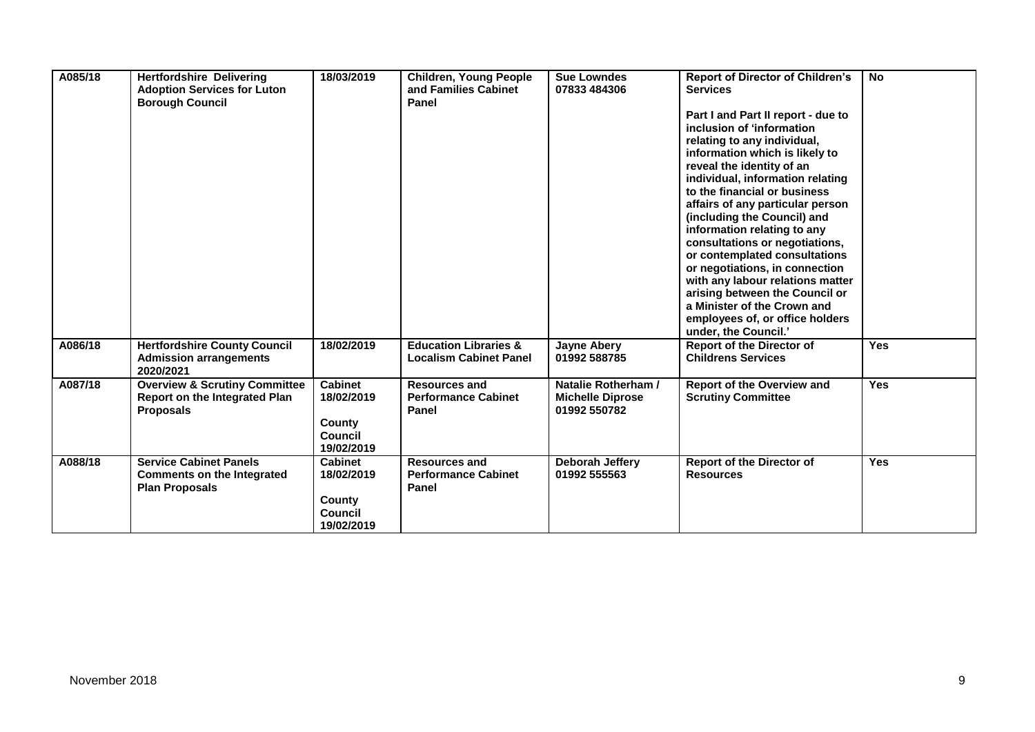| A085/18 | <b>Hertfordshire Delivering</b><br><b>Adoption Services for Luton</b><br><b>Borough Council</b>      | 18/03/2019                                                      | <b>Children, Young People</b><br>and Families Cabinet<br>Panel    | <b>Sue Lowndes</b><br>07833 484306                             | <b>Report of Director of Children's</b><br><b>Services</b><br>Part I and Part II report - due to<br>inclusion of 'information<br>relating to any individual,<br>information which is likely to<br>reveal the identity of an<br>individual, information relating<br>to the financial or business<br>affairs of any particular person<br>(including the Council) and<br>information relating to any<br>consultations or negotiations,<br>or contemplated consultations<br>or negotiations, in connection<br>with any labour relations matter<br>arising between the Council or<br>a Minister of the Crown and<br>employees of, or office holders<br>under, the Council.' | <b>No</b>  |
|---------|------------------------------------------------------------------------------------------------------|-----------------------------------------------------------------|-------------------------------------------------------------------|----------------------------------------------------------------|------------------------------------------------------------------------------------------------------------------------------------------------------------------------------------------------------------------------------------------------------------------------------------------------------------------------------------------------------------------------------------------------------------------------------------------------------------------------------------------------------------------------------------------------------------------------------------------------------------------------------------------------------------------------|------------|
| A086/18 | <b>Hertfordshire County Council</b><br><b>Admission arrangements</b><br>2020/2021                    | 18/02/2019                                                      | <b>Education Libraries &amp;</b><br><b>Localism Cabinet Panel</b> | <b>Jayne Abery</b><br>01992 588785                             | <b>Report of the Director of</b><br><b>Childrens Services</b>                                                                                                                                                                                                                                                                                                                                                                                                                                                                                                                                                                                                          | <b>Yes</b> |
| A087/18 | <b>Overview &amp; Scrutiny Committee</b><br><b>Report on the Integrated Plan</b><br><b>Proposals</b> | <b>Cabinet</b><br>18/02/2019<br>County<br>Council<br>19/02/2019 | <b>Resources and</b><br><b>Performance Cabinet</b><br>Panel       | Natalie Rotherham /<br><b>Michelle Diprose</b><br>01992 550782 | Report of the Overview and<br><b>Scrutiny Committee</b>                                                                                                                                                                                                                                                                                                                                                                                                                                                                                                                                                                                                                | <b>Yes</b> |
| A088/18 | <b>Service Cabinet Panels</b><br><b>Comments on the Integrated</b><br><b>Plan Proposals</b>          | <b>Cabinet</b><br>18/02/2019<br>County<br>Council<br>19/02/2019 | <b>Resources and</b><br><b>Performance Cabinet</b><br>Panel       | Deborah Jeffery<br>01992 555563                                | <b>Report of the Director of</b><br><b>Resources</b>                                                                                                                                                                                                                                                                                                                                                                                                                                                                                                                                                                                                                   | <b>Yes</b> |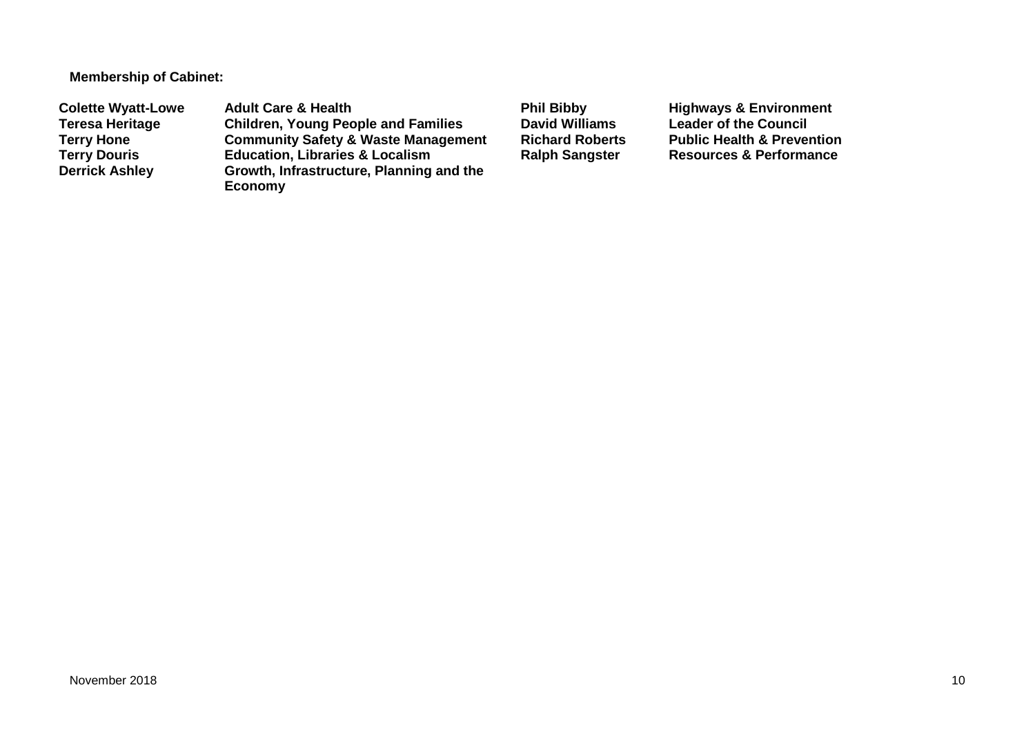**Membership of Cabinet:** 

**Colette Wyatt-Lowe** Adult Care & Health **Phil Bibby Bill Bibby** Highways & Environment<br>Teresa Heritage Children, Young People and Families David Williams Leader of the Council **Teresa Heritage Children, Young People and Families David Williams Leader of the Council Terry Hone Community Safety & Waste Management Richard Roberts Public Health & Prevention Terry Douris <b>Education, Libraries & Localism**<br> **Derrick Ashley** Growth, Infrastructure, Planning **Growth, Infrastructure, Planning and the Economy**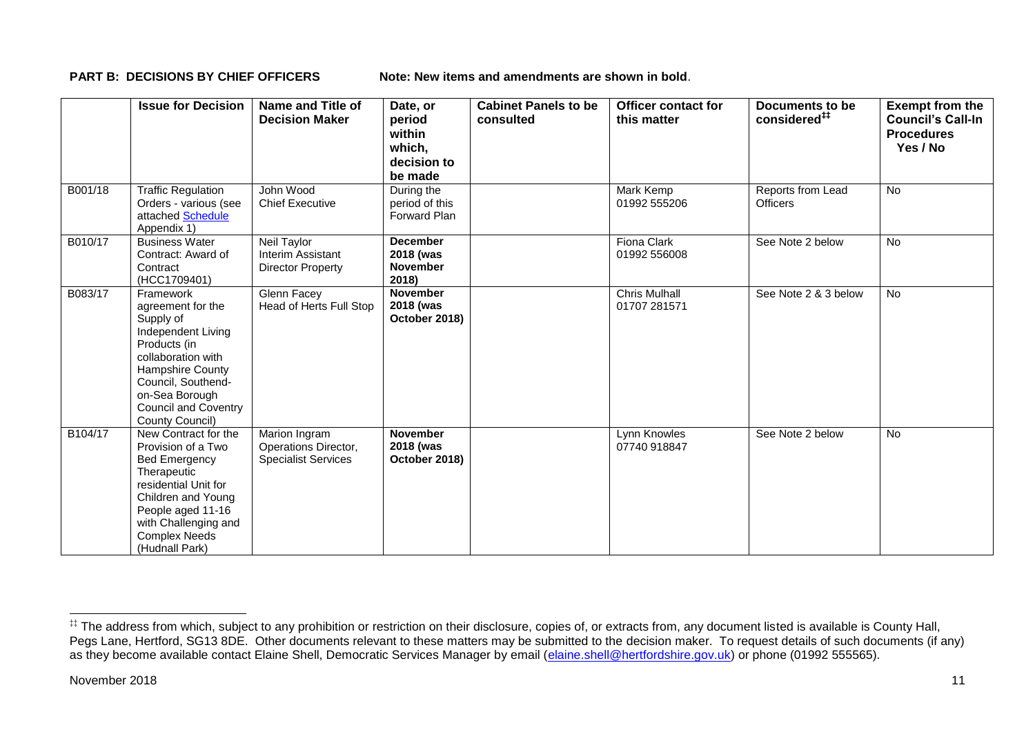**PART B: DECISIONS BY CHIEF OFFICERS Note: New items and amendments are shown in bold.** 

|         | <b>Issue for Decision</b>                                                                                                                                                                                              | Name and Title of<br><b>Decision Maker</b>                          | Date, or<br>period<br>within<br>which,<br>decision to<br>be made | <b>Cabinet Panels to be</b><br>consulted | Officer contact for<br>this matter   | Documents to be<br>considered <sup>##</sup> | <b>Exempt from the</b><br><b>Council's Call-In</b><br><b>Procedures</b><br>Yes / No |
|---------|------------------------------------------------------------------------------------------------------------------------------------------------------------------------------------------------------------------------|---------------------------------------------------------------------|------------------------------------------------------------------|------------------------------------------|--------------------------------------|---------------------------------------------|-------------------------------------------------------------------------------------|
| B001/18 | <b>Traffic Regulation</b><br>Orders - various (see<br>attached Schedule<br>Appendix 1)                                                                                                                                 | John Wood<br><b>Chief Executive</b>                                 | During the<br>period of this<br>Forward Plan                     |                                          | Mark Kemp<br>01992 555206            | Reports from Lead<br><b>Officers</b>        | No                                                                                  |
| B010/17 | <b>Business Water</b><br>Contract: Award of<br>Contract<br>(HCC1709401)                                                                                                                                                | Neil Taylor<br>Interim Assistant<br><b>Director Property</b>        | <b>December</b><br>2018 (was<br><b>November</b><br>2018)         |                                          | <b>Fiona Clark</b><br>01992 556008   | See Note 2 below                            | <b>No</b>                                                                           |
| B083/17 | Framework<br>agreement for the<br>Supply of<br>Independent Living<br>Products (in<br>collaboration with<br>Hampshire County<br>Council, Southend-<br>on-Sea Borough<br><b>Council and Coventry</b><br>County Council)  | <b>Glenn Facey</b><br>Head of Herts Full Stop                       | <b>November</b><br>2018 (was<br>October 2018)                    |                                          | <b>Chris Mulhall</b><br>01707 281571 | See Note 2 & 3 below                        | <b>No</b>                                                                           |
| B104/17 | New Contract for the<br>Provision of a Two<br><b>Bed Emergency</b><br>Therapeutic<br>residential Unit for<br>Children and Young<br>People aged 11-16<br>with Challenging and<br><b>Complex Needs</b><br>(Hudnall Park) | Marion Ingram<br>Operations Director,<br><b>Specialist Services</b> | <b>November</b><br>2018 (was<br>October 2018)                    |                                          | Lynn Knowles<br>07740 918847         | See Note 2 below                            | No                                                                                  |

1

<sup>‡‡</sup> The address from which, subject to any prohibition or restriction on their disclosure, copies of, or extracts from, any document listed is available is County Hall, Pegs Lane, Hertford, SG13 8DE. Other documents relevant to these matters may be submitted to the decision maker. To request details of such documents (if any) as they become available contact Elaine Shell, Democratic Services Manager by email [\(elaine.shell@hertfordshire.gov.uk\)](mailto:elaine.shell@hertfordshire.gov.uk) or phone (01992 555565).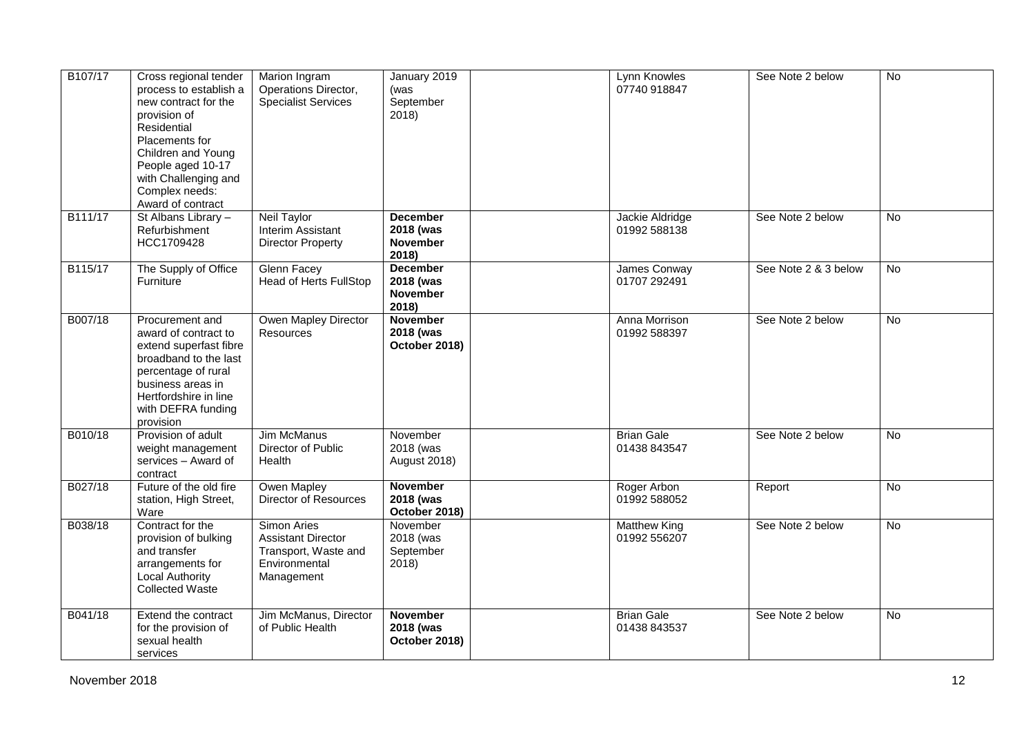| B107/17 | Cross regional tender<br>process to establish a<br>new contract for the<br>provision of<br>Residential<br>Placements for<br>Children and Young<br>People aged 10-17<br>with Challenging and<br>Complex needs:<br>Award of contract | Marion Ingram<br>Operations Director,<br><b>Specialist Services</b>                             | January 2019<br>(was<br>September<br>2018)               | Lynn Knowles<br>07740 918847        | See Note 2 below     | $\overline{N}$ |
|---------|------------------------------------------------------------------------------------------------------------------------------------------------------------------------------------------------------------------------------------|-------------------------------------------------------------------------------------------------|----------------------------------------------------------|-------------------------------------|----------------------|----------------|
| B111/17 | St Albans Library -<br>Refurbishment<br>HCC1709428                                                                                                                                                                                 | Neil Taylor<br>Interim Assistant<br>Director Property                                           | <b>December</b><br>2018 (was<br><b>November</b><br>2018) | Jackie Aldridge<br>01992 588138     | See Note 2 below     | No             |
| B115/17 | The Supply of Office<br>Furniture                                                                                                                                                                                                  | Glenn Facey<br><b>Head of Herts FullStop</b>                                                    | <b>December</b><br>2018 (was<br><b>November</b><br>2018) | James Conway<br>01707 292491        | See Note 2 & 3 below | No             |
| B007/18 | Procurement and<br>award of contract to<br>extend superfast fibre<br>broadband to the last<br>percentage of rural<br>business areas in<br>Hertfordshire in line<br>with DEFRA funding<br>provision                                 | Owen Mapley Director<br><b>Resources</b>                                                        | <b>November</b><br>2018 (was<br>October 2018)            | Anna Morrison<br>01992 588397       | See Note 2 below     | No             |
| B010/18 | Provision of adult<br>weight management<br>services - Award of<br>contract                                                                                                                                                         | <b>Jim McManus</b><br>Director of Public<br>Health                                              | November<br>2018 (was<br>August 2018)                    | <b>Brian Gale</b><br>01438 843547   | See Note 2 below     | <b>No</b>      |
| B027/18 | Future of the old fire<br>station, High Street,<br>Ware                                                                                                                                                                            | Owen Mapley<br><b>Director of Resources</b>                                                     | <b>November</b><br>2018 (was<br>October 2018)            | Roger Arbon<br>01992 588052         | Report               | <b>No</b>      |
| B038/18 | Contract for the<br>provision of bulking<br>and transfer<br>arrangements for<br><b>Local Authority</b><br><b>Collected Waste</b>                                                                                                   | Simon Aries<br><b>Assistant Director</b><br>Transport, Waste and<br>Environmental<br>Management | November<br>2018 (was<br>September<br>2018)              | <b>Matthew King</b><br>01992 556207 | See Note 2 below     | $\overline{N}$ |
| B041/18 | Extend the contract<br>for the provision of<br>sexual health<br>services                                                                                                                                                           | Jim McManus, Director<br>of Public Health                                                       | <b>November</b><br>2018 (was<br>October 2018)            | <b>Brian Gale</b><br>01438 843537   | See Note 2 below     | $\overline{N}$ |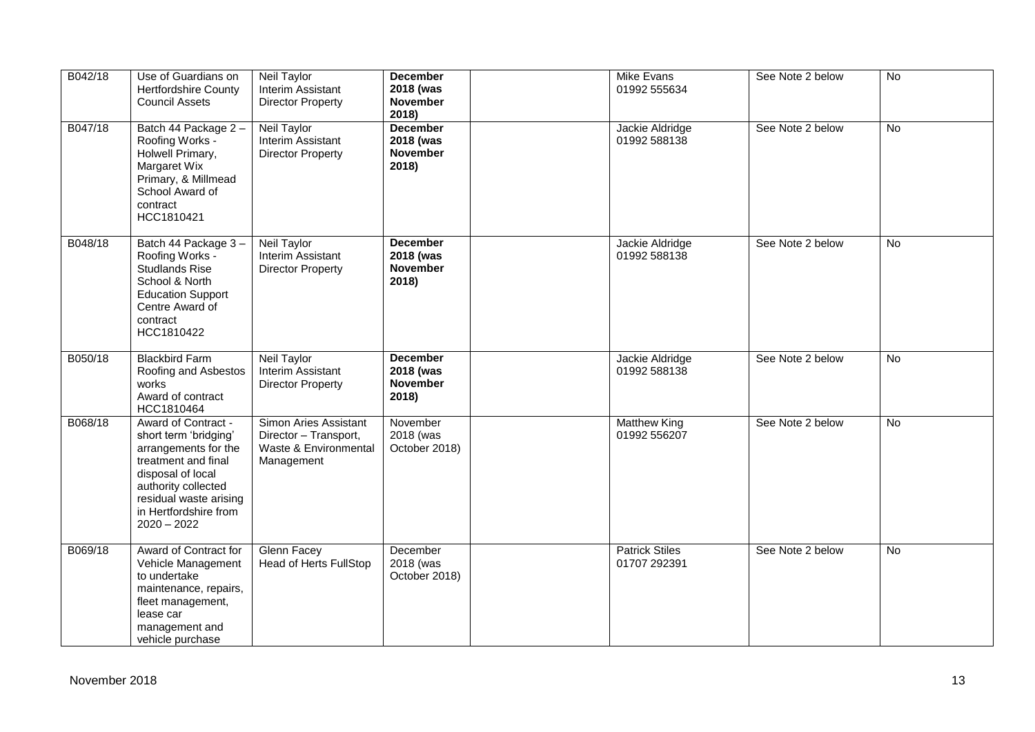| B042/18 | Use of Guardians on<br><b>Hertfordshire County</b><br><b>Council Assets</b>                                                                                                                                 | Neil Taylor<br>Interim Assistant<br><b>Director Property</b>                          | <b>December</b><br>2018 (was<br><b>November</b><br>2018) | Mike Evans<br>01992 555634            | See Note 2 below | $\overline{N}$ |
|---------|-------------------------------------------------------------------------------------------------------------------------------------------------------------------------------------------------------------|---------------------------------------------------------------------------------------|----------------------------------------------------------|---------------------------------------|------------------|----------------|
| B047/18 | Batch 44 Package 2 -<br>Roofing Works -<br>Holwell Primary,<br>Margaret Wix<br>Primary, & Millmead<br>School Award of<br>contract<br>HCC1810421                                                             | <b>Neil Taylor</b><br>Interim Assistant<br><b>Director Property</b>                   | <b>December</b><br>2018 (was<br><b>November</b><br>2018) | Jackie Aldridge<br>01992 588138       | See Note 2 below | No             |
| B048/18 | Batch 44 Package 3-<br>Roofing Works -<br><b>Studlands Rise</b><br>School & North<br><b>Education Support</b><br>Centre Award of<br>contract<br>HCC1810422                                                  | Neil Taylor<br>Interim Assistant<br><b>Director Property</b>                          | <b>December</b><br>2018 (was<br><b>November</b><br>2018) | Jackie Aldridge<br>01992 588138       | See Note 2 below | <b>No</b>      |
| B050/18 | <b>Blackbird Farm</b><br>Roofing and Asbestos<br>works<br>Award of contract<br>HCC1810464                                                                                                                   | Neil Taylor<br>Interim Assistant<br><b>Director Property</b>                          | <b>December</b><br>2018 (was<br><b>November</b><br>2018) | Jackie Aldridge<br>01992 588138       | See Note 2 below | No             |
| B068/18 | Award of Contract -<br>short term 'bridging'<br>arrangements for the<br>treatment and final<br>disposal of local<br>authority collected<br>residual waste arising<br>in Hertfordshire from<br>$2020 - 2022$ | Simon Aries Assistant<br>Director - Transport,<br>Waste & Environmental<br>Management | November<br>2018 (was<br>October 2018)                   | <b>Matthew King</b><br>01992 556207   | See Note 2 below | No             |
| B069/18 | Award of Contract for<br>Vehicle Management<br>to undertake<br>maintenance, repairs,<br>fleet management,<br>lease car<br>management and<br>vehicle purchase                                                | Glenn Facey<br><b>Head of Herts FullStop</b>                                          | December<br>2018 (was<br>October 2018)                   | <b>Patrick Stiles</b><br>01707 292391 | See Note 2 below | No             |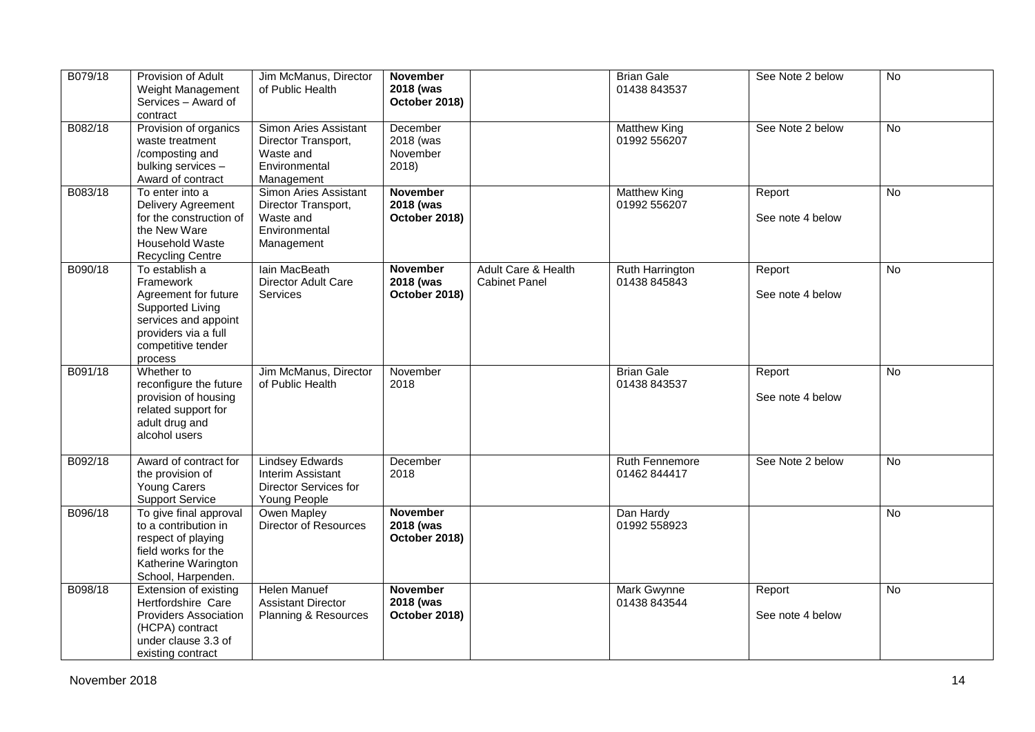| B079/18 | Provision of Adult<br>Weight Management<br>Services - Award of<br>contract                                                                               | Jim McManus, Director<br>of Public Health                                                | <b>November</b><br>2018 (was<br>October 2018) |                                             | <b>Brian Gale</b><br>01438 843537   | See Note 2 below           | $\overline{N}$ |
|---------|----------------------------------------------------------------------------------------------------------------------------------------------------------|------------------------------------------------------------------------------------------|-----------------------------------------------|---------------------------------------------|-------------------------------------|----------------------------|----------------|
| B082/18 | Provision of organics<br>waste treatment<br>/composting and<br>bulking services -<br>Award of contract                                                   | Simon Aries Assistant<br>Director Transport,<br>Waste and<br>Environmental<br>Management | December<br>2018 (was<br>November<br>2018)    |                                             | <b>Matthew King</b><br>01992 556207 | See Note 2 below           | $\overline{N}$ |
| B083/18 | To enter into a<br>Delivery Agreement<br>for the construction of<br>the New Ware<br>Household Waste<br><b>Recycling Centre</b>                           | Simon Aries Assistant<br>Director Transport,<br>Waste and<br>Environmental<br>Management | <b>November</b><br>2018 (was<br>October 2018) |                                             | <b>Matthew King</b><br>01992 556207 | Report<br>See note 4 below | <b>No</b>      |
| B090/18 | To establish a<br>Framework<br>Agreement for future<br>Supported Living<br>services and appoint<br>providers via a full<br>competitive tender<br>process | lain MacBeath<br>Director Adult Care<br><b>Services</b>                                  | <b>November</b><br>2018 (was<br>October 2018) | Adult Care & Health<br><b>Cabinet Panel</b> | Ruth Harrington<br>01438 845843     | Report<br>See note 4 below | <b>No</b>      |
| B091/18 | Whether to<br>reconfigure the future<br>provision of housing<br>related support for<br>adult drug and<br>alcohol users                                   | Jim McManus, Director<br>of Public Health                                                | November<br>2018                              |                                             | <b>Brian Gale</b><br>01438 843537   | Report<br>See note 4 below | <b>No</b>      |
| B092/18 | Award of contract for<br>the provision of<br>Young Carers<br><b>Support Service</b>                                                                      | <b>Lindsey Edwards</b><br>Interim Assistant<br>Director Services for<br>Young People     | December<br>2018                              |                                             | Ruth Fennemore<br>01462 844417      | See Note 2 below           | <b>No</b>      |
| B096/18 | To give final approval<br>to a contribution in<br>respect of playing<br>field works for the<br>Katherine Warington<br>School, Harpenden.                 | Owen Mapley<br>Director of Resources                                                     | November<br>2018 (was<br>October 2018)        |                                             | Dan Hardy<br>01992 558923           |                            | <b>No</b>      |
| B098/18 | Extension of existing<br>Hertfordshire Care<br>Providers Association<br>(HCPA) contract<br>under clause 3.3 of<br>existing contract                      | <b>Helen Manuef</b><br><b>Assistant Director</b><br>Planning & Resources                 | <b>November</b><br>2018 (was<br>October 2018) |                                             | Mark Gwynne<br>01438 843544         | Report<br>See note 4 below | <b>No</b>      |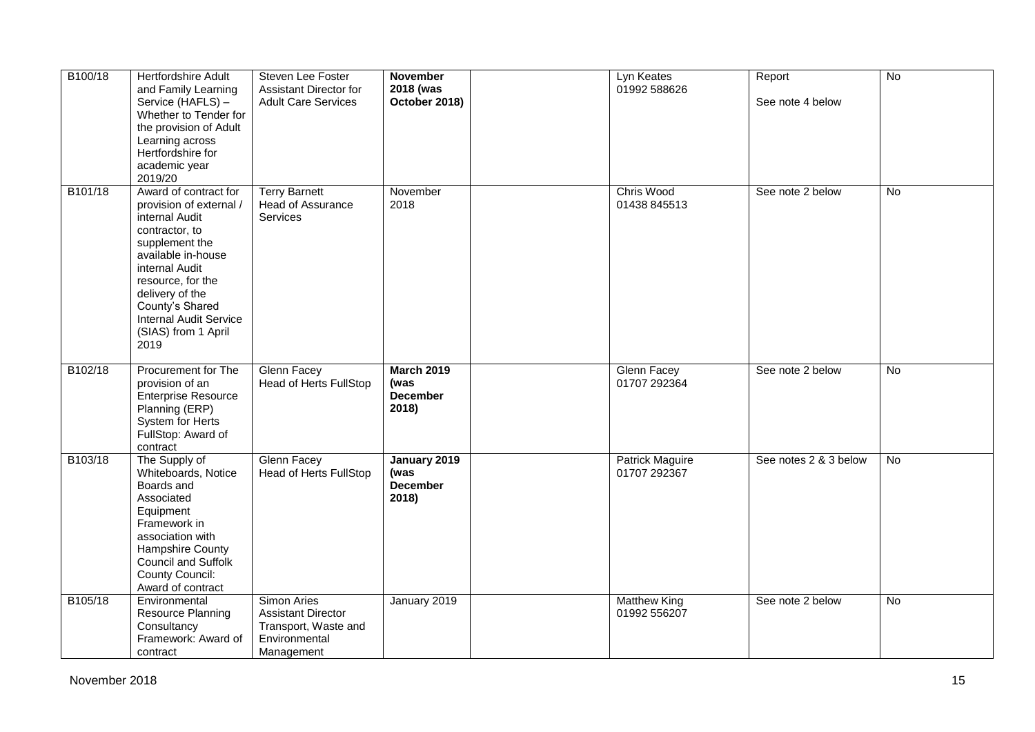| B100/18 | Hertfordshire Adult<br>and Family Learning<br>Service (HAFLS) -<br>Whether to Tender for<br>the provision of Adult<br>Learning across<br>Hertfordshire for<br>academic year<br>2019/20                                                                                    | Steven Lee Foster<br>Assistant Director for<br><b>Adult Care Services</b>                       | <b>November</b><br>2018 (was<br>October 2018)         | Lyn Keates<br>01992 588626             | Report<br>See note 4 below | $\overline{N}$ |
|---------|---------------------------------------------------------------------------------------------------------------------------------------------------------------------------------------------------------------------------------------------------------------------------|-------------------------------------------------------------------------------------------------|-------------------------------------------------------|----------------------------------------|----------------------------|----------------|
| B101/18 | Award of contract for<br>provision of external /<br>internal Audit<br>contractor, to<br>supplement the<br>available in-house<br>internal Audit<br>resource, for the<br>delivery of the<br>County's Shared<br><b>Internal Audit Service</b><br>(SIAS) from 1 April<br>2019 | <b>Terry Barnett</b><br><b>Head of Assurance</b><br>Services                                    | November<br>2018                                      | Chris Wood<br>01438 845513             | See note 2 below           | No             |
| B102/18 | Procurement for The<br>provision of an<br><b>Enterprise Resource</b><br>Planning (ERP)<br>System for Herts<br>FullStop: Award of<br>contract                                                                                                                              | Glenn Facey<br><b>Head of Herts FullStop</b>                                                    | <b>March 2019</b><br>(was<br><b>December</b><br>2018) | Glenn Facey<br>01707 292364            | See note 2 below           | No             |
| B103/18 | The Supply of<br>Whiteboards, Notice<br>Boards and<br>Associated<br>Equipment<br>Framework in<br>association with<br>Hampshire County<br>Council and Suffolk<br>County Council:<br>Award of contract                                                                      | <b>Glenn Facey</b><br><b>Head of Herts FullStop</b>                                             | January 2019<br>(was<br><b>December</b><br>2018)      | <b>Patrick Maguire</b><br>01707 292367 | See notes 2 & 3 below      | No             |
| B105/18 | Environmental<br>Resource Planning<br>Consultancy<br>Framework: Award of<br>contract                                                                                                                                                                                      | Simon Aries<br><b>Assistant Director</b><br>Transport, Waste and<br>Environmental<br>Management | January 2019                                          | <b>Matthew King</b><br>01992 556207    | See note 2 below           | No             |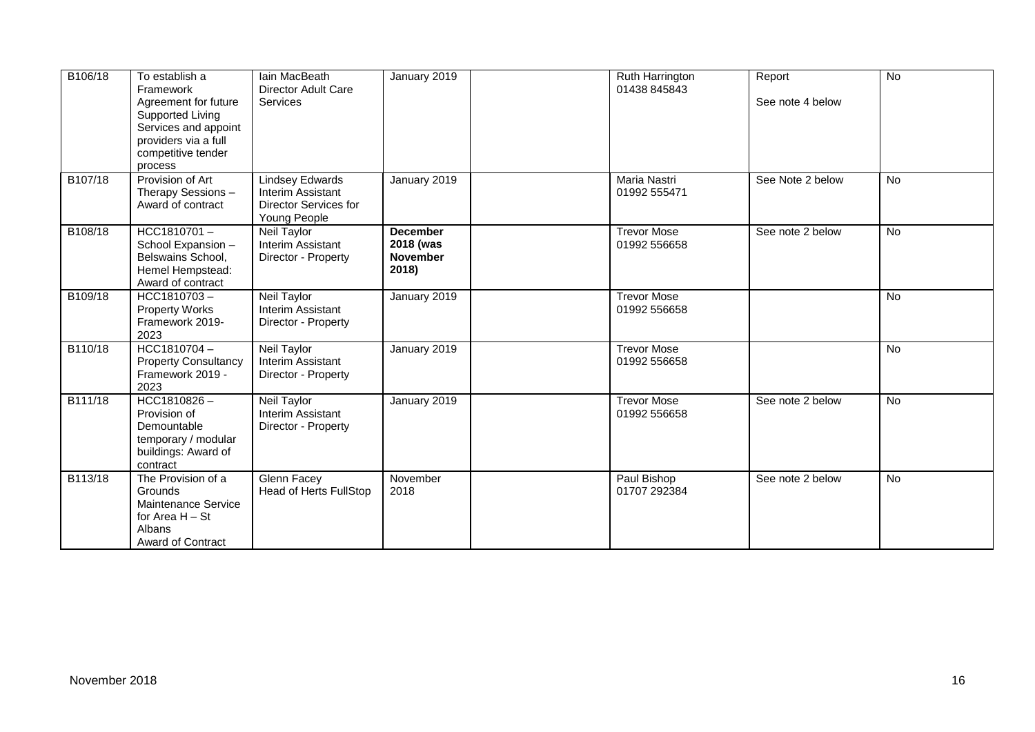| B106/18 | To establish a<br>Framework<br>Agreement for future<br>Supported Living<br>Services and appoint<br>providers via a full<br>competitive tender<br>process | lain MacBeath<br><b>Director Adult Care</b><br>Services                              | January 2019                                             | Ruth Harrington<br>01438 845843    | Report<br>See note 4 below | $\overline{N}$  |
|---------|----------------------------------------------------------------------------------------------------------------------------------------------------------|--------------------------------------------------------------------------------------|----------------------------------------------------------|------------------------------------|----------------------------|-----------------|
| B107/18 | Provision of Art<br>Therapy Sessions -<br>Award of contract                                                                                              | <b>Lindsey Edwards</b><br>Interim Assistant<br>Director Services for<br>Young People | January 2019                                             | Maria Nastri<br>01992 555471       | See Note 2 below           | <b>No</b>       |
| B108/18 | HCC1810701-<br>School Expansion -<br>Belswains School,<br>Hemel Hempstead:<br>Award of contract                                                          | Neil Taylor<br>Interim Assistant<br>Director - Property                              | <b>December</b><br>2018 (was<br><b>November</b><br>2018) | <b>Trevor Mose</b><br>01992 556658 | See note 2 below           | No              |
| B109/18 | HCC1810703-<br><b>Property Works</b><br>Framework 2019-<br>2023                                                                                          | <b>Neil Taylor</b><br>Interim Assistant<br>Director - Property                       | January 2019                                             | <b>Trevor Mose</b><br>01992 556658 |                            | $\overline{No}$ |
| B110/18 | HCC1810704-<br><b>Property Consultancy</b><br>Framework 2019 -<br>2023                                                                                   | <b>Neil Taylor</b><br>Interim Assistant<br>Director - Property                       | January 2019                                             | <b>Trevor Mose</b><br>01992 556658 |                            | No              |
| B111/18 | $HCC1810826 -$<br>Provision of<br>Demountable<br>temporary / modular<br>buildings: Award of<br>contract                                                  | <b>Neil Taylor</b><br>Interim Assistant<br>Director - Property                       | January 2019                                             | <b>Trevor Mose</b><br>01992 556658 | See note 2 below           | $\overline{No}$ |
| B113/18 | The Provision of a<br>Grounds<br>Maintenance Service<br>for Area H - St<br>Albans<br>Award of Contract                                                   | Glenn Facey<br><b>Head of Herts FullStop</b>                                         | November<br>2018                                         | Paul Bishop<br>01707 292384        | See note 2 below           | <b>No</b>       |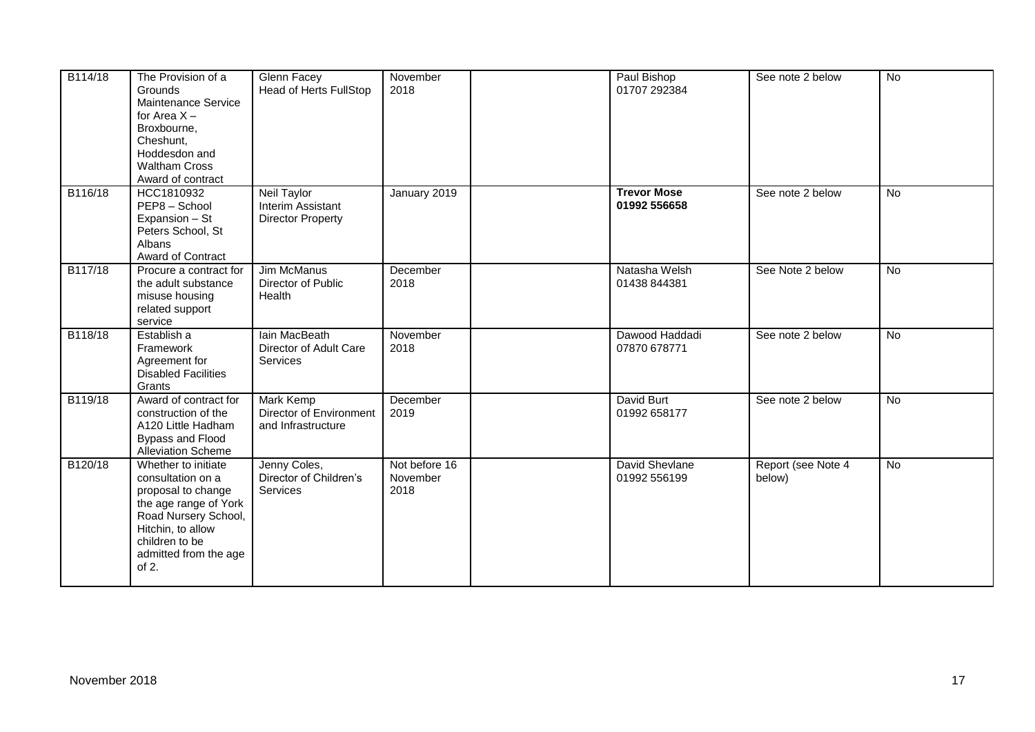| B114/18 | The Provision of a<br>Grounds<br>Maintenance Service<br>for Area $X -$<br>Broxbourne,<br>Cheshunt,<br>Hoddesdon and<br><b>Waltham Cross</b><br>Award of contract                            | Glenn Facey<br><b>Head of Herts FullStop</b>                      | November<br>2018                  | Paul Bishop<br>01707 292384        | See note 2 below             | $\overline{N}$ |
|---------|---------------------------------------------------------------------------------------------------------------------------------------------------------------------------------------------|-------------------------------------------------------------------|-----------------------------------|------------------------------------|------------------------------|----------------|
| B116/18 | HCC1810932<br>PEP8 - School<br>Expansion - St<br>Peters School, St<br>Albans<br>Award of Contract                                                                                           | Neil Taylor<br>Interim Assistant<br><b>Director Property</b>      | January 2019                      | <b>Trevor Mose</b><br>01992 556658 | See note 2 below             | No             |
| B117/18 | Procure a contract for<br>the adult substance<br>misuse housing<br>related support<br>service                                                                                               | Jim McManus<br>Director of Public<br>Health                       | December<br>2018                  | Natasha Welsh<br>01438 844381      | See Note 2 below             | No             |
| B118/18 | Establish a<br>Framework<br>Agreement for<br><b>Disabled Facilities</b><br>Grants                                                                                                           | Iain MacBeath<br>Director of Adult Care<br>Services               | November<br>2018                  | Dawood Haddadi<br>07870 678771     | See note 2 below             | <b>No</b>      |
| B119/18 | Award of contract for<br>construction of the<br>A120 Little Hadham<br>Bypass and Flood<br><b>Alleviation Scheme</b>                                                                         | <b>Mark Kemp</b><br>Director of Environment<br>and Infrastructure | December<br>2019                  | David Burt<br>01992 658177         | See note 2 below             | $\overline{N}$ |
| B120/18 | Whether to initiate<br>consultation on a<br>proposal to change<br>the age range of York<br>Road Nursery School,<br>Hitchin, to allow<br>children to be<br>admitted from the age<br>of $2$ . | Jenny Coles,<br>Director of Children's<br>Services                | Not before 16<br>November<br>2018 | David Shevlane<br>01992 556199     | Report (see Note 4<br>below) | <b>No</b>      |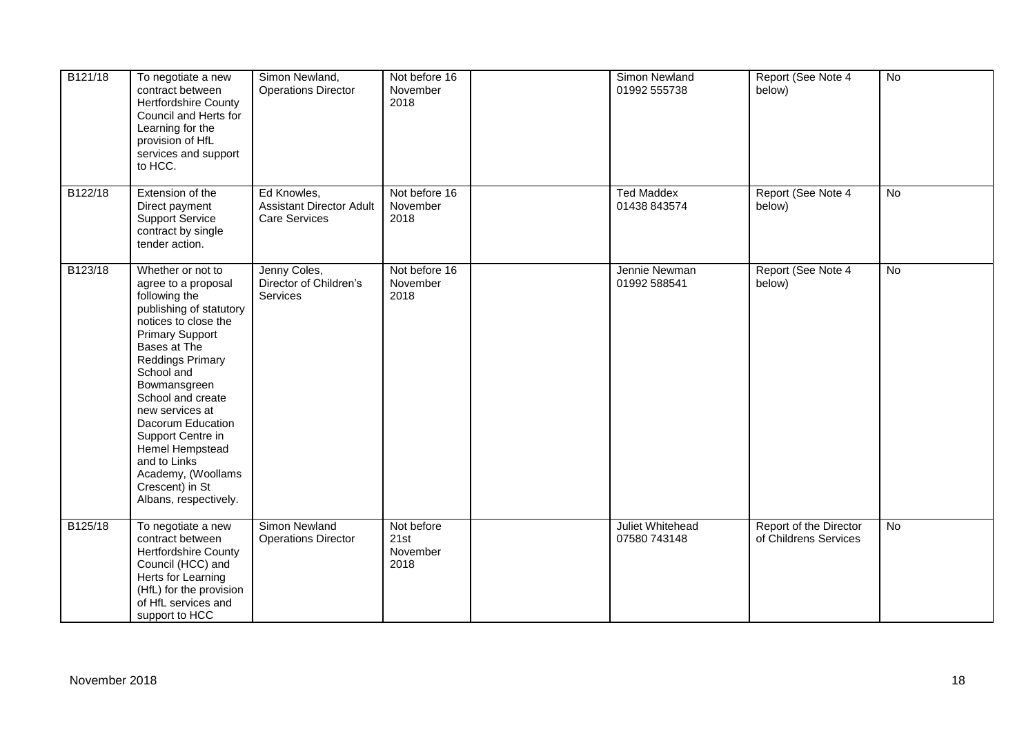| B121/18 | To negotiate a new<br>contract between<br><b>Hertfordshire County</b><br>Council and Herts for<br>Learning for the<br>provision of HfL<br>services and support<br>to HCC.                                                                                                                                                                                                                              | Simon Newland,<br><b>Operations Director</b>                           | Not before 16<br>November<br>2018      | Simon Newland<br>01992 555738     | Report (See Note 4<br>below)                    | No             |
|---------|--------------------------------------------------------------------------------------------------------------------------------------------------------------------------------------------------------------------------------------------------------------------------------------------------------------------------------------------------------------------------------------------------------|------------------------------------------------------------------------|----------------------------------------|-----------------------------------|-------------------------------------------------|----------------|
| B122/18 | Extension of the<br>Direct payment<br><b>Support Service</b><br>contract by single<br>tender action.                                                                                                                                                                                                                                                                                                   | Ed Knowles,<br><b>Assistant Director Adult</b><br><b>Care Services</b> | Not before 16<br>November<br>2018      | <b>Ted Maddex</b><br>01438 843574 | Report (See Note 4<br>below)                    | $\overline{N}$ |
| B123/18 | Whether or not to<br>agree to a proposal<br>following the<br>publishing of statutory<br>notices to close the<br><b>Primary Support</b><br>Bases at The<br><b>Reddings Primary</b><br>School and<br>Bowmansgreen<br>School and create<br>new services at<br>Dacorum Education<br>Support Centre in<br>Hemel Hempstead<br>and to Links<br>Academy, (Woollams<br>Crescent) in St<br>Albans, respectively. | Jenny Coles,<br>Director of Children's<br><b>Services</b>              | Not before 16<br>November<br>2018      | Jennie Newman<br>01992 588541     | Report (See Note 4<br>below)                    | $\overline{N}$ |
| B125/18 | To negotiate a new<br>contract between<br>Hertfordshire County<br>Council (HCC) and<br>Herts for Learning<br>(HfL) for the provision<br>of HfL services and<br>support to HCC                                                                                                                                                                                                                          | Simon Newland<br><b>Operations Director</b>                            | Not before<br>21st<br>November<br>2018 | Juliet Whitehead<br>07580 743148  | Report of the Director<br>of Childrens Services | No             |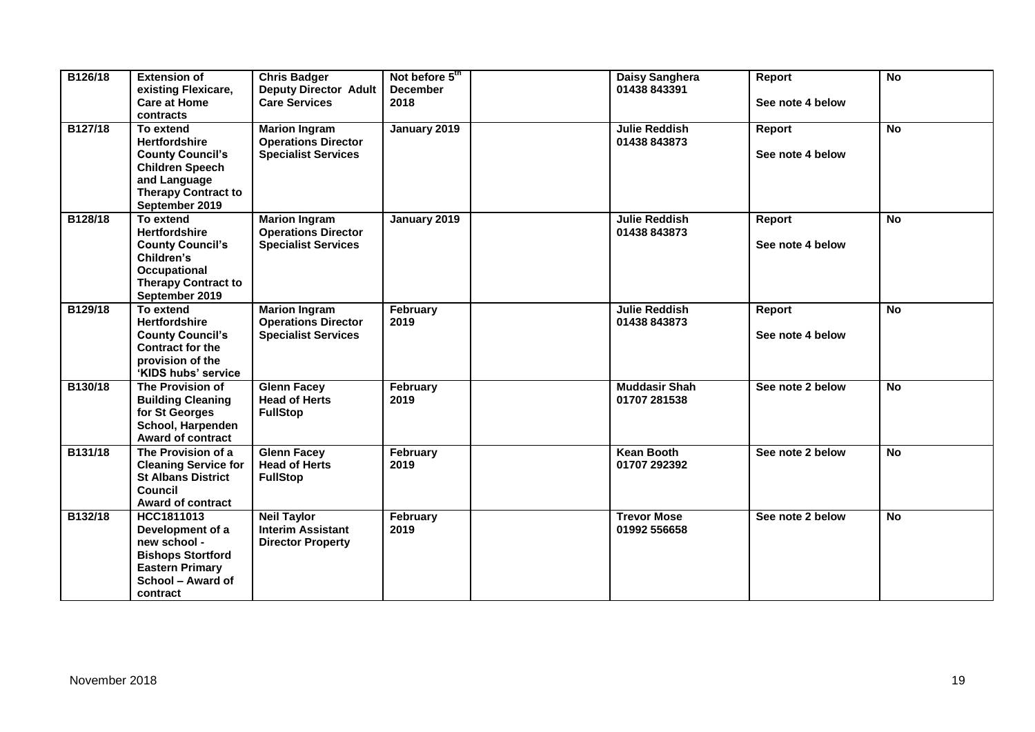| B126/18 | <b>Extension of</b><br>existing Flexicare,<br><b>Care at Home</b><br>contracts                                                                         | <b>Chris Badger</b><br><b>Deputy Director Adult</b><br><b>Care Services</b>      | Not before 5th<br><b>December</b><br>2018 | Daisy Sanghera<br>01438 843391       | Report<br>See note 4 below | <b>No</b> |
|---------|--------------------------------------------------------------------------------------------------------------------------------------------------------|----------------------------------------------------------------------------------|-------------------------------------------|--------------------------------------|----------------------------|-----------|
| B127/18 | To extend<br><b>Hertfordshire</b><br><b>County Council's</b><br><b>Children Speech</b><br>and Language<br><b>Therapy Contract to</b><br>September 2019 | <b>Marion Ingram</b><br><b>Operations Director</b><br><b>Specialist Services</b> | January 2019                              | <b>Julie Reddish</b><br>01438 843873 | Report<br>See note 4 below | <b>No</b> |
| B128/18 | To extend<br><b>Hertfordshire</b><br><b>County Council's</b><br>Children's<br>Occupational<br><b>Therapy Contract to</b><br>September 2019             | <b>Marion Ingram</b><br><b>Operations Director</b><br><b>Specialist Services</b> | January 2019                              | <b>Julie Reddish</b><br>01438 843873 | Report<br>See note 4 below | <b>No</b> |
| B129/18 | To extend<br><b>Hertfordshire</b><br><b>County Council's</b><br><b>Contract for the</b><br>provision of the<br>'KIDS hubs' service                     | <b>Marion Ingram</b><br><b>Operations Director</b><br><b>Specialist Services</b> | February<br>2019                          | <b>Julie Reddish</b><br>01438 843873 | Report<br>See note 4 below | <b>No</b> |
| B130/18 | The Provision of<br><b>Building Cleaning</b><br>for St Georges<br>School, Harpenden<br><b>Award of contract</b>                                        | <b>Glenn Facey</b><br><b>Head of Herts</b><br><b>FullStop</b>                    | February<br>2019                          | <b>Muddasir Shah</b><br>01707 281538 | See note 2 below           | <b>No</b> |
| B131/18 | The Provision of a<br><b>Cleaning Service for</b><br><b>St Albans District</b><br>Council<br><b>Award of contract</b>                                  | <b>Glenn Facey</b><br><b>Head of Herts</b><br><b>FullStop</b>                    | February<br>2019                          | Kean Booth<br>01707 292392           | See note 2 below           | <b>No</b> |
| B132/18 | HCC1811013<br>Development of a<br>new school -<br><b>Bishops Stortford</b><br><b>Eastern Primary</b><br>School - Award of<br>contract                  | <b>Neil Taylor</b><br><b>Interim Assistant</b><br><b>Director Property</b>       | February<br>2019                          | <b>Trevor Mose</b><br>01992 556658   | See note 2 below           | <b>No</b> |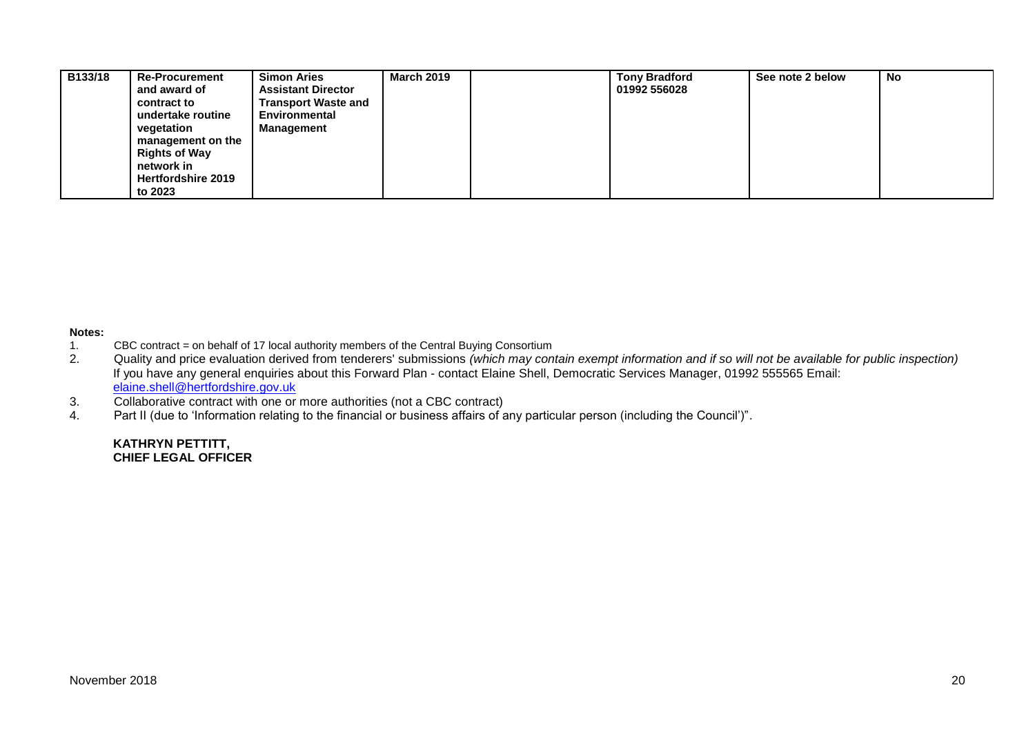| B133/18 | <b>Re-Procurement</b>     | <b>Simon Aries</b>         | <b>March 2019</b> | <b>Tony Bradford</b> | See note 2 below | <b>No</b> |
|---------|---------------------------|----------------------------|-------------------|----------------------|------------------|-----------|
|         | and award of              | <b>Assistant Director</b>  |                   | 01992 556028         |                  |           |
|         | contract to               | <b>Transport Waste and</b> |                   |                      |                  |           |
|         | undertake routine         | Environmental              |                   |                      |                  |           |
|         | vegetation                | <b>Management</b>          |                   |                      |                  |           |
|         | management on the         |                            |                   |                      |                  |           |
|         | <b>Rights of Way</b>      |                            |                   |                      |                  |           |
|         | network in                |                            |                   |                      |                  |           |
|         | <b>Hertfordshire 2019</b> |                            |                   |                      |                  |           |
|         | to 2023                   |                            |                   |                      |                  |           |

# **Notes:**

- 1. CBC contract = on behalf of 17 local authority members of the Central Buying Consortium<br>2. Quality and price evaluation derived from tenderers' submissions (which may con
- 2. Quality and price evaluation derived from tenderers' submissions *(which may contain exempt information and if so will not be available for public inspection)* If you have any general enquiries about this Forward Plan - contact Elaine Shell, Democratic Services Manager, 01992 555565 Email: [elaine.shell@hertfordshire.gov.uk](mailto:elaine.shell@hertfordshire.gov.uk)
- 3. Collaborative contract with one or more authorities (not a CBC contract)
- 4. Part II (due to 'Information relating to the financial or business affairs of any particular person (including the Council')".

#### **KATHRYN PETTITT, CHIEF LEGAL OFFICER**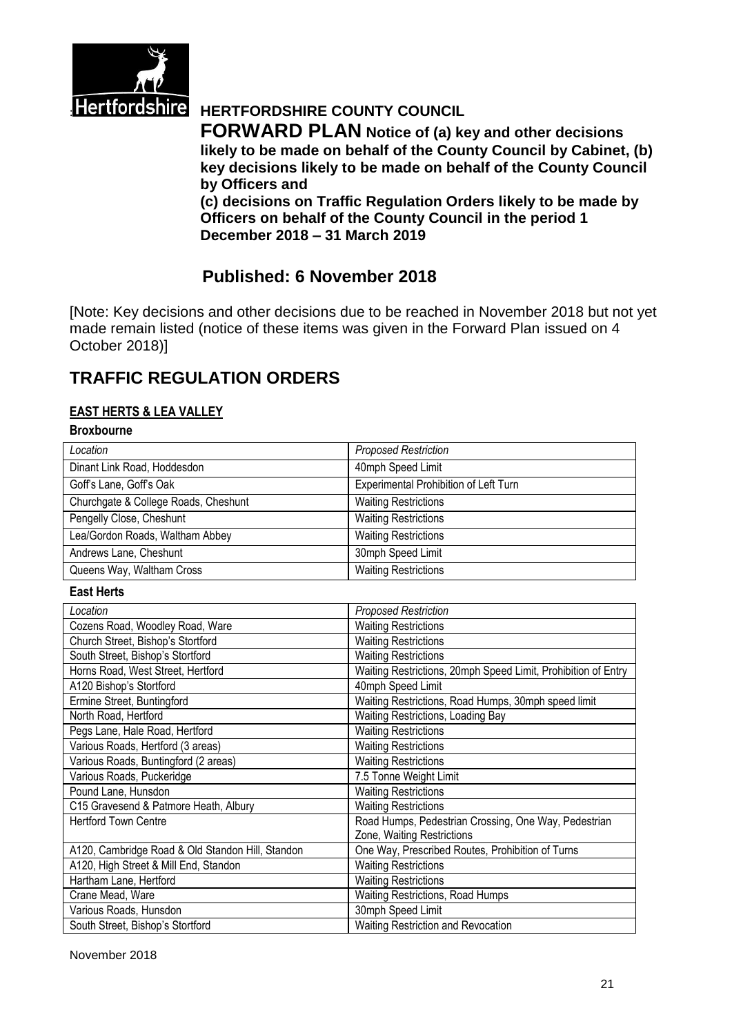

# **Hertfordshire HERTFORDSHIRE COUNTY COUNCIL**

**FORWARD PLAN Notice of (a) key and other decisions likely to be made on behalf of the County Council by Cabinet, (b) key decisions likely to be made on behalf of the County Council by Officers and** 

**(c) decisions on Traffic Regulation Orders likely to be made by Officers on behalf of the County Council in the period 1 December 2018 – 31 March 2019**

# **Published: 6 November 2018**

[Note: Key decisions and other decisions due to be reached in November 2018 but not yet made remain listed (notice of these items was given in the Forward Plan issued on 4 October 2018)]

# **TRAFFIC REGULATION ORDERS**

## **EAST HERTS & LEA VALLEY**

## **Broxbourne**

| Location                                         | <b>Proposed Restriction</b>                                   |
|--------------------------------------------------|---------------------------------------------------------------|
| Dinant Link Road, Hoddesdon                      | 40mph Speed Limit                                             |
| Goff's Lane, Goff's Oak                          | <b>Experimental Prohibition of Left Turn</b>                  |
| Churchgate & College Roads, Cheshunt             | <b>Waiting Restrictions</b>                                   |
| Pengelly Close, Cheshunt                         | <b>Waiting Restrictions</b>                                   |
| Lea/Gordon Roads, Waltham Abbey                  | <b>Waiting Restrictions</b>                                   |
| Andrews Lane, Cheshunt                           | 30mph Speed Limit                                             |
| Queens Way, Waltham Cross                        | <b>Waiting Restrictions</b>                                   |
| <b>East Herts</b>                                |                                                               |
| Location                                         | <b>Proposed Restriction</b>                                   |
| Cozens Road, Woodley Road, Ware                  | <b>Waiting Restrictions</b>                                   |
| Church Street, Bishop's Stortford                | <b>Waiting Restrictions</b>                                   |
| South Street, Bishop's Stortford                 | <b>Waiting Restrictions</b>                                   |
| Horns Road, West Street, Hertford                | Waiting Restrictions, 20mph Speed Limit, Prohibition of Entry |
| A120 Bishop's Stortford                          | 40mph Speed Limit                                             |
| Ermine Street, Buntingford                       | Waiting Restrictions, Road Humps, 30mph speed limit           |
| North Road, Hertford                             | Waiting Restrictions, Loading Bay                             |
| Pegs Lane, Hale Road, Hertford                   | <b>Waiting Restrictions</b>                                   |
| Various Roads, Hertford (3 areas)                | <b>Waiting Restrictions</b>                                   |
| Various Roads, Buntingford (2 areas)             | <b>Waiting Restrictions</b>                                   |
| Various Roads, Puckeridge                        | 7.5 Tonne Weight Limit                                        |
| Pound Lane, Hunsdon                              | <b>Waiting Restrictions</b>                                   |
| C15 Gravesend & Patmore Heath, Albury            | <b>Waiting Restrictions</b>                                   |
| <b>Hertford Town Centre</b>                      | Road Humps, Pedestrian Crossing, One Way, Pedestrian          |
|                                                  | Zone, Waiting Restrictions                                    |
| A120, Cambridge Road & Old Standon Hill, Standon | One Way, Prescribed Routes, Prohibition of Turns              |
| A120, High Street & Mill End, Standon            | <b>Waiting Restrictions</b>                                   |
| Hartham Lane, Hertford                           | <b>Waiting Restrictions</b>                                   |
| Crane Mead, Ware                                 | Waiting Restrictions, Road Humps                              |
| Various Roads, Hunsdon                           | 30mph Speed Limit                                             |
| South Street, Bishop's Stortford                 | Waiting Restriction and Revocation                            |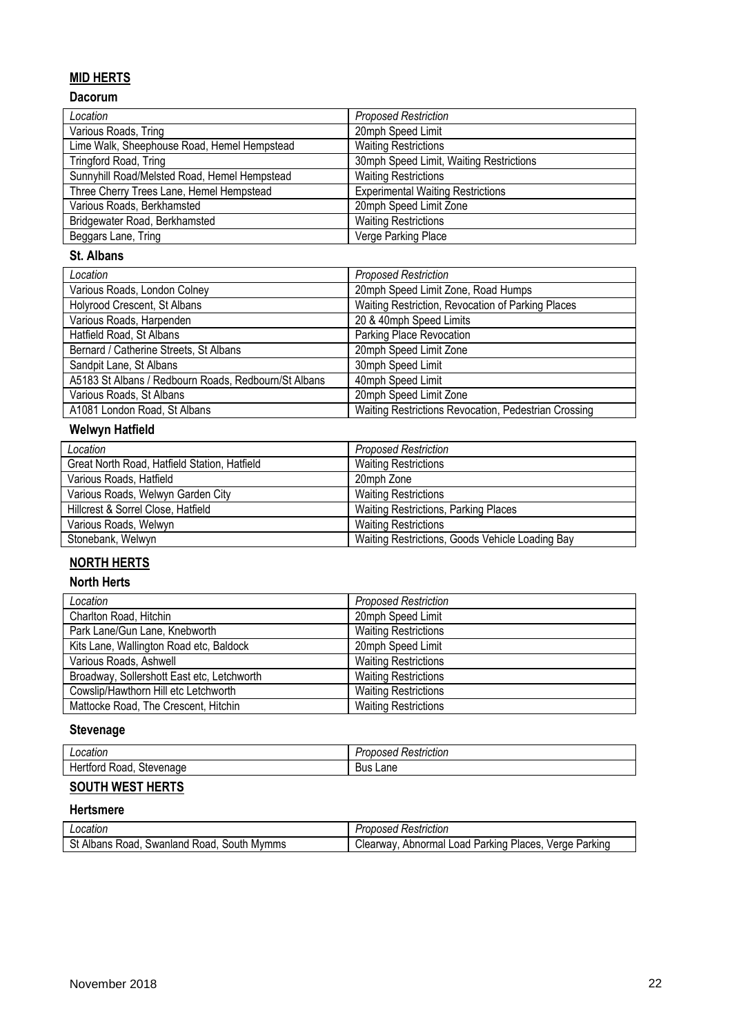# **MID HERTS**

# **Dacorum**

| Location                                     | <b>Proposed Restriction</b>              |
|----------------------------------------------|------------------------------------------|
| Various Roads, Tring                         | 20mph Speed Limit                        |
| Lime Walk, Sheephouse Road, Hemel Hempstead  | <b>Waiting Restrictions</b>              |
| Tringford Road, Tring                        | 30mph Speed Limit, Waiting Restrictions  |
| Sunnyhill Road/Melsted Road, Hemel Hempstead | <b>Waiting Restrictions</b>              |
| Three Cherry Trees Lane, Hemel Hempstead     | <b>Experimental Waiting Restrictions</b> |
| Various Roads, Berkhamsted                   | 20mph Speed Limit Zone                   |
| Bridgewater Road, Berkhamsted                | <b>Waiting Restrictions</b>              |
| Beggars Lane, Tring                          | Verge Parking Place                      |

#### **St. Albans**

| Location                                             | <b>Proposed Restriction</b>                          |
|------------------------------------------------------|------------------------------------------------------|
| Various Roads, London Colney                         | 20mph Speed Limit Zone, Road Humps                   |
| Holyrood Crescent, St Albans                         | Waiting Restriction, Revocation of Parking Places    |
| Various Roads, Harpenden                             | 20 & 40mph Speed Limits                              |
| Hatfield Road, St Albans                             | Parking Place Revocation                             |
| Bernard / Catherine Streets, St Albans               | 20mph Speed Limit Zone                               |
| Sandpit Lane, St Albans                              | 30mph Speed Limit                                    |
| A5183 St Albans / Redbourn Roads, Redbourn/St Albans | 40mph Speed Limit                                    |
| Various Roads, St Albans                             | 20mph Speed Limit Zone                               |
| A1081 London Road, St Albans                         | Waiting Restrictions Revocation, Pedestrian Crossing |

# **Welwyn Hatfield**

| Location                                     | <b>Proposed Restriction</b>                     |
|----------------------------------------------|-------------------------------------------------|
| Great North Road, Hatfield Station, Hatfield | <b>Waiting Restrictions</b>                     |
| Various Roads, Hatfield                      | 20mph Zone                                      |
| Various Roads, Welwyn Garden City            | <b>Waiting Restrictions</b>                     |
| Hillcrest & Sorrel Close, Hatfield           | <b>Waiting Restrictions, Parking Places</b>     |
| Various Roads, Welwyn                        | <b>Waiting Restrictions</b>                     |
| Stonebank, Welwyn                            | Waiting Restrictions, Goods Vehicle Loading Bay |

# **NORTH HERTS**

#### **North Herts**

| Location                                   | <b>Proposed Restriction</b> |
|--------------------------------------------|-----------------------------|
| Charlton Road, Hitchin                     | 20mph Speed Limit           |
| Park Lane/Gun Lane, Knebworth              | <b>Waiting Restrictions</b> |
| Kits Lane, Wallington Road etc, Baldock    | 20mph Speed Limit           |
| Various Roads, Ashwell                     | <b>Waiting Restrictions</b> |
| Broadway, Sollershott East etc, Letchworth | <b>Waiting Restrictions</b> |
| Cowslip/Hawthorn Hill etc Letchworth       | <b>Waiting Restrictions</b> |
| Mattocke Road, The Crescent, Hitchin       | <b>Waiting Restrictions</b> |

## **Stevenage**

| cauor                                                     | ---------<br>$\sim$ $\sim$ $\sim$<br>11<br>HCHOL<br>∵سہ…<br>.<br>,,,<br>–…… |
|-----------------------------------------------------------|-----------------------------------------------------------------------------|
| -<br>$\sim$ $\sim$ $\sim$ $\sim$<br>nar<br>۹۱۳.<br>978020 | -<br>Lane<br>Bus                                                            |

### **SOUTH WEST HERTS**

#### **Hertsmere**

| ∩cation                                                             | Restriction<br>'uvosea                                                          |
|---------------------------------------------------------------------|---------------------------------------------------------------------------------|
| .<br>$\sim$<br>Mymms<br>50utr<br>Swanland<br>koad<br>Road<br>Albans | Parking<br>Abnormal<br>Parkino<br><b>PRWAY</b><br>/erae<br>'laces<br>oac<br>Jea |